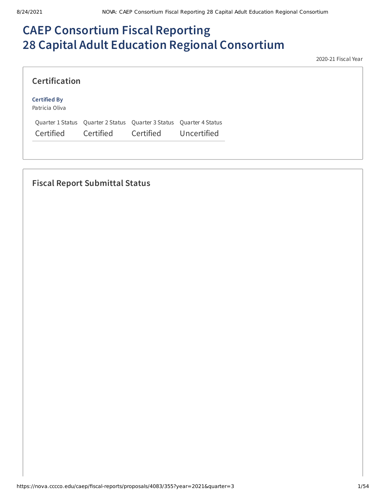# **CAEP Consortium Fiscal Reporting 28 Capital Adult Education Regional Consortium**

2020-21 Fiscal Year

| <b>Certification</b>                  |           |                                                                     |             |
|---------------------------------------|-----------|---------------------------------------------------------------------|-------------|
| <b>Certified By</b><br>Patricia Oliva |           |                                                                     |             |
|                                       |           | Quarter 1 Status Quarter 2 Status Quarter 3 Status Quarter 4 Status |             |
| Certified                             | Certified | Certified                                                           | Uncertified |

# **Fiscal Report Submittal Status**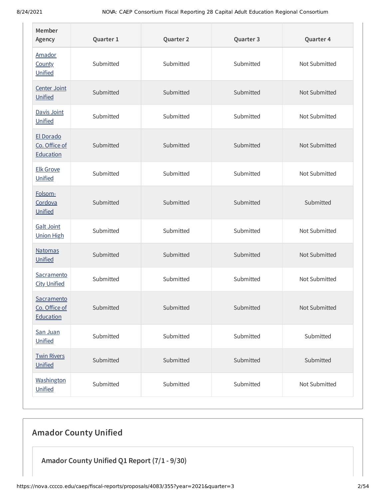| Member<br>Agency                         | Quarter 1 | Quarter 2 | Quarter 3 | Quarter 4     |
|------------------------------------------|-----------|-----------|-----------|---------------|
| Amador<br><b>County</b><br>Unified       | Submitted | Submitted | Submitted | Not Submitted |
| Center Joint<br>Unified                  | Submitted | Submitted | Submitted | Not Submitted |
| Davis Joint<br>Unified                   | Submitted | Submitted | Submitted | Not Submitted |
| El Dorado<br>Co. Office of<br>Education  | Submitted | Submitted | Submitted | Not Submitted |
| <b>Elk Grove</b><br>Unified              | Submitted | Submitted | Submitted | Not Submitted |
| Folsom-<br>Cordova<br>Unified            | Submitted | Submitted | Submitted | Submitted     |
| <b>Galt Joint</b><br><b>Union High</b>   | Submitted | Submitted | Submitted | Not Submitted |
| <b>Natomas</b><br>Unified                | Submitted | Submitted | Submitted | Not Submitted |
| Sacramento<br><b>City Unified</b>        | Submitted | Submitted | Submitted | Not Submitted |
| Sacramento<br>Co. Office of<br>Education | Submitted | Submitted | Submitted | Not Submitted |
| San Juan<br>Unified                      | Submitted | Submitted | Submitted | Submitted     |
| <b>Twin Rivers</b><br>Unified            | Submitted | Submitted | Submitted | Submitted     |
| Washington<br>Unified                    | Submitted | Submitted | Submitted | Not Submitted |

# **Amador County Unified**

**Amador County Unified Q1 Report (7/1 - 9/30)**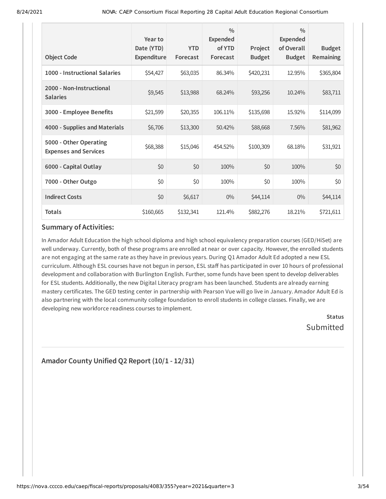| <b>Object Code</b>                                     | Year to<br>Date (YTD)<br>Expenditure | <b>YTD</b><br>Forecast | $\frac{0}{0}$<br>Expended<br>of YTD<br>Forecast | Project<br><b>Budget</b> | $\frac{0}{0}$<br><b>Expended</b><br>of Overall<br><b>Budget</b> | <b>Budget</b><br>Remaining |
|--------------------------------------------------------|--------------------------------------|------------------------|-------------------------------------------------|--------------------------|-----------------------------------------------------------------|----------------------------|
| 1000 - Instructional Salaries                          | \$54,427                             | \$63,035               | 86.34%                                          | \$420,231                | 12.95%                                                          | \$365,804                  |
| 2000 - Non-Instructional<br><b>Salaries</b>            | \$9,545                              | \$13,988               | 68.24%                                          | \$93,256                 | 10.24%                                                          | \$83,711                   |
| 3000 - Employee Benefits                               | \$21,599                             | \$20,355               | 106.11%                                         | \$135,698                | 15.92%                                                          | \$114,099                  |
| 4000 - Supplies and Materials                          | \$6,706                              | \$13,300               | 50.42%                                          | \$88,668                 | 7.56%                                                           | \$81,962                   |
| 5000 - Other Operating<br><b>Expenses and Services</b> | \$68,388                             | \$15,046               | 454.52%                                         | \$100,309                | 68.18%                                                          | \$31,921                   |
| 6000 - Capital Outlay                                  | \$0                                  | \$0                    | 100%                                            | \$0                      | 100%                                                            | \$0                        |
| 7000 - Other Outgo                                     | \$0                                  | \$0                    | 100%                                            | \$0                      | 100%                                                            | \$0                        |
| <b>Indirect Costs</b>                                  | \$0                                  | \$6,617                | $0\%$                                           | \$44,114                 | $0\%$                                                           | \$44,114                   |
| <b>Totals</b>                                          | \$160,665                            | \$132,341              | 121.4%                                          | \$882,276                | 18.21%                                                          | \$721,611                  |

In Amador Adult Education the high school diploma and high school equivalency preparation courses (GED/HiSet) are well underway. Currently, both of these programs are enrolled at near or over capacity. However, the enrolled students are not engaging at the same rate as they have in previous years. During Q1 Amador Adult Ed adopted a new ESL curriculum. Although ESL courses have not begun in person, ESL staff has participated in over 10 hours of professional development and collaboration with Burlington English. Further, some funds have been spent to develop deliverables for ESL students. Additionally, the new Digital Literacy program has been launched. Students are already earning mastery certificates. The GED testing center in partnership with Pearson Vue will go live in January. Amador Adult Ed is also partnering with the local community college foundation to enroll students in college classes. Finally, we are developing new workforce readiness courses to implement.

**Status** Submitted

# **Amador County Unified Q2 Report (10/1 - 12/31)**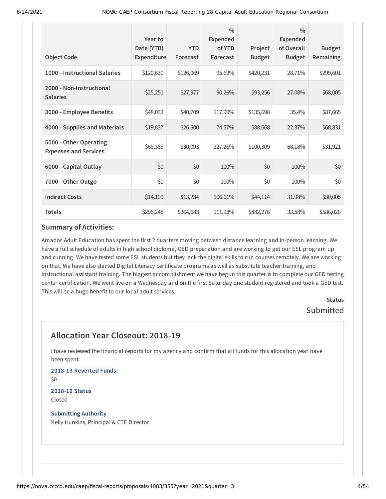| <b>Object Code</b>                                     | Year to<br>Date (YTD)<br>Expenditure | <b>YTD</b><br>Forecast | $\frac{0}{0}$<br><b>Expended</b><br>of YTD<br>Forecast | Project<br><b>Budget</b> | $\frac{0}{0}$<br><b>Expended</b><br>of Overall<br><b>Budget</b> | <b>Budget</b><br>Remaining |
|--------------------------------------------------------|--------------------------------------|------------------------|--------------------------------------------------------|--------------------------|-----------------------------------------------------------------|----------------------------|
| 1000 - Instructional Salaries                          | \$120,630                            | \$126,069              | 95.69%                                                 | \$420,231                | 28.71%                                                          | \$299,601                  |
| 2000 - Non-Instructional<br><b>Salaries</b>            | \$25,251                             | \$27,977               | 90.26%                                                 | \$93,256                 | 27.08%                                                          | \$68,005                   |
| 3000 - Employee Benefits                               | \$48,033                             | \$40,709               | 117.99%                                                | \$135,698                | 35.4%                                                           | \$87,665                   |
| 4000 - Supplies and Materials                          | \$19,837                             | \$26,600               | 74.57%                                                 | \$88,668                 | 22.37%                                                          | \$68,831                   |
| 5000 - Other Operating<br><b>Expenses and Services</b> | \$68,388                             | \$30,093               | 227.26%                                                | \$100,309                | 68.18%                                                          | \$31,921                   |
| 6000 - Capital Outlay                                  | \$0                                  | \$0                    | 100%                                                   | \$0                      | 100%                                                            | \$0                        |
| 7000 - Other Outgo                                     | \$0                                  | \$0                    | 100%                                                   | \$0                      | 100%                                                            | \$0                        |
| <b>Indirect Costs</b>                                  | \$14,109                             | \$13,234               | 106.61%                                                | \$44,114                 | 31.98%                                                          | \$30,005                   |
| <b>Totals</b>                                          | \$296,248                            | \$264,683              | 111.93%                                                | \$882,276                | 33.58%                                                          | \$586,028                  |

Amador Adult Education has spent the first 2 quarters moving between distance learning and in-person learning. We have a full schedule of adults in high school diploma, GED preparation and are working to get our ESL program up and running. We have tested some ESL students but they lack the digital skills to run courses remotely. We are working on that. We have also started Digital Literacy certificate programs as well as substitute teacher training, and instructional assistant training. The biggest accomplishment we have begun this quarter is to complete our GED testing center certification. We went live on a Wednesday and on the first Saturday one student registered and took a GED test. This will be a huge benefit to our local adult services.

> **Status** Submitted

# **Allocation Year Closeout: 2018-19**

I have reviewed the financial reports for my agency and confirm that all funds for this allocation year have been spent.

**2018-19 Reverted Funds:** \$0

**2018-19 Status** Closed

**Submitting Authority** Kelly Hunkins, Principal & CTE Director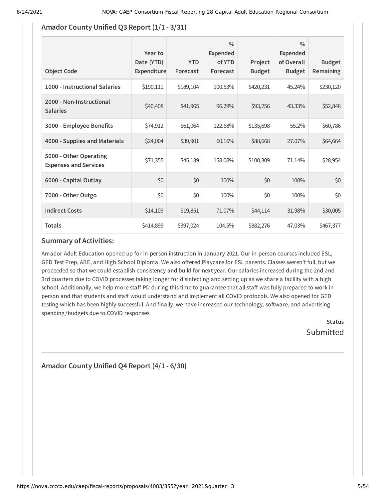## **Amador County Unified Q3 Report (1/1 - 3/31)**

| <b>Object Code</b>                                     | Year to<br>Date (YTD)<br>Expenditure | <b>YTD</b><br>Forecast | $\frac{0}{0}$<br><b>Expended</b><br>of YTD<br>Forecast | Project<br><b>Budget</b> | $\frac{0}{0}$<br><b>Expended</b><br>of Overall<br><b>Budget</b> | <b>Budget</b><br><b>Remaining</b> |
|--------------------------------------------------------|--------------------------------------|------------------------|--------------------------------------------------------|--------------------------|-----------------------------------------------------------------|-----------------------------------|
| 1000 - Instructional Salaries                          | \$190,111                            | \$189,104              | 100.53%                                                | \$420,231                | 45.24%                                                          | \$230,120                         |
| 2000 - Non-Instructional<br><b>Salaries</b>            | \$40,408                             | \$41,965               | 96.29%                                                 | \$93,256                 | 43.33%                                                          | \$52,848                          |
| 3000 - Employee Benefits                               | \$74,912                             | \$61,064               | 122.68%                                                | \$135,698                | 55.2%                                                           | \$60,786                          |
| 4000 - Supplies and Materials                          | \$24,004                             | \$39,901               | 60.16%                                                 | \$88,668                 | 27.07%                                                          | \$64,664                          |
| 5000 - Other Operating<br><b>Expenses and Services</b> | \$71,355                             | \$45,139               | 158.08%                                                | \$100,309                | 71.14%                                                          | \$28,954                          |
| 6000 - Capital Outlay                                  | \$0                                  | \$0                    | 100%                                                   | \$0                      | 100%                                                            | \$0                               |
| 7000 - Other Outgo                                     | \$0                                  | \$0                    | 100%                                                   | \$0                      | 100%                                                            | \$0                               |
| <b>Indirect Costs</b>                                  | \$14,109                             | \$19,851               | 71.07%                                                 | \$44,114                 | 31.98%                                                          | \$30,005                          |
| <b>Totals</b>                                          | \$414,899                            | \$397,024              | 104.5%                                                 | \$882,276                | 47.03%                                                          | \$467,377                         |

## **Summary of Activities:**

Amador Adult Education opened up for in-person instruction in January 2021. Our in-person courses included ESL, GED Test Prep, ABE, and High School Diploma. We also offered Playcare for ESL parents. Classes weren't full, but we proceeded so that we could establish consistency and build for next year. Our salaries increased during the 2nd and 3rd quarters due to COVID processes taking longer for disinfecting and setting up as we share a facility with a high school. Additionally, we help more staff PD during this time to guarantee that all staff was fully prepared to work in person and that students and staff would understand and implement all COVID protocols. We also opened for GED testing which has been highly successful. And finally, we have increased our technology, software, and advertising spending /budgets due to COVID responses.

> **Status Submitted**

# **Amador County Unified Q4 Report (4/1 - 6/30)**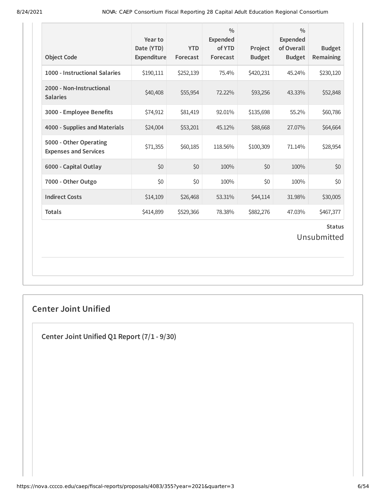| <b>Object Code</b>                                     | Year to<br>Date (YTD)<br>Expenditure | <b>YTD</b><br>Forecast | $\frac{0}{0}$<br>Expended<br>of YTD<br>Forecast | Project<br><b>Budget</b> | $\frac{0}{0}$<br><b>Expended</b><br>of Overall<br><b>Budget</b> | <b>Budget</b><br>Remaining   |
|--------------------------------------------------------|--------------------------------------|------------------------|-------------------------------------------------|--------------------------|-----------------------------------------------------------------|------------------------------|
| 1000 - Instructional Salaries                          | \$190,111                            | \$252,139              | 75.4%                                           | \$420,231                | 45.24%                                                          | \$230,120                    |
| 2000 - Non-Instructional<br><b>Salaries</b>            | \$40,408                             | \$55,954               | 72.22%                                          | \$93,256                 | 43.33%                                                          | \$52,848                     |
| 3000 - Employee Benefits                               | \$74,912                             | \$81,419               | 92.01%                                          | \$135,698                | 55.2%                                                           | \$60,786                     |
| 4000 - Supplies and Materials                          | \$24,004                             | \$53,201               | 45.12%                                          | \$88,668                 | 27.07%                                                          | \$64,664                     |
| 5000 - Other Operating<br><b>Expenses and Services</b> | \$71,355                             | \$60,185               | 118.56%                                         | \$100,309                | 71.14%                                                          | \$28,954                     |
| 6000 - Capital Outlay                                  | \$0                                  | \$0                    | 100%                                            | \$0                      | 100%                                                            | \$0                          |
| 7000 - Other Outgo                                     | \$0                                  | \$0                    | 100%                                            | \$0                      | 100%                                                            | \$0                          |
| <b>Indirect Costs</b>                                  | \$14,109                             | \$26,468               | 53.31%                                          | \$44,114                 | 31.98%                                                          | \$30,005                     |
| <b>Totals</b>                                          | \$414,899                            | \$529,366              | 78.38%                                          | \$882,276                | 47.03%                                                          | \$467,377                    |
|                                                        |                                      |                        |                                                 |                          |                                                                 | <b>Status</b><br>Unsubmitted |

# **Center Joint Unified**

**Center Joint Unified Q1 Report (7/1 - 9/30)**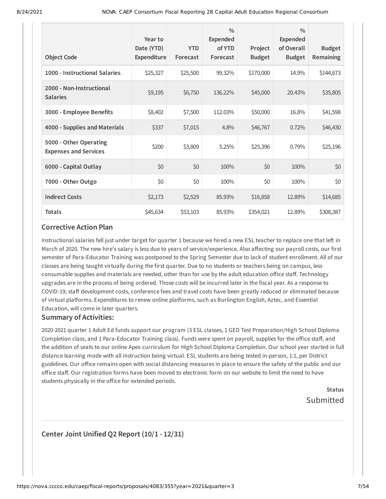| <b>Object Code</b>                                     | Year to<br>Date (YTD)<br>Expenditure | <b>YTD</b><br>Forecast | $\frac{0}{0}$<br>Expended<br>of YTD<br>Forecast | Project<br><b>Budget</b> | $\frac{0}{0}$<br>Expended<br>of Overall<br><b>Budget</b> | <b>Budget</b><br>Remaining |
|--------------------------------------------------------|--------------------------------------|------------------------|-------------------------------------------------|--------------------------|----------------------------------------------------------|----------------------------|
| 1000 - Instructional Salaries                          | \$25,327                             | \$25,500               | 99.32%                                          | \$170,000                | 14.9%                                                    | \$144,673                  |
| 2000 - Non-Instructional<br><b>Salaries</b>            | \$9,195                              | \$6,750                | 136.22%                                         | \$45,000                 | 20.43%                                                   | \$35,805                   |
| 3000 - Employee Benefits                               | \$8,402                              | \$7,500                | 112.03%                                         | \$50,000                 | 16.8%                                                    | \$41,598                   |
| 4000 - Supplies and Materials                          | \$337                                | \$7,015                | 4.8%                                            | \$46,767                 | 0.72%                                                    | \$46,430                   |
| 5000 - Other Operating<br><b>Expenses and Services</b> | \$200                                | \$3,809                | 5.25%                                           | \$25,396                 | 0.79%                                                    | \$25,196                   |
| 6000 - Capital Outlay                                  | \$0                                  | \$0                    | 100%                                            | \$0                      | 100%                                                     | \$0                        |
| 7000 - Other Outgo                                     | \$0                                  | \$0                    | 100%                                            | \$0                      | 100%                                                     | \$0                        |
| <b>Indirect Costs</b>                                  | \$2,173                              | \$2,529                | 85.93%                                          | \$16,858                 | 12.89%                                                   | \$14,685                   |
| <b>Totals</b>                                          | \$45,634                             | \$53,103               | 85.93%                                          | \$354,021                | 12.89%                                                   | \$308,387                  |

Instructional salaries fell just under target for quarter 1 because we hired a new ESL teacher to replace one that left in March of 2020. The new hire's salary is less due to years of service/experience. Also affecting our payroll costs, our first semester of Para-Educator Training was postponed to the Spring Semester due to lack of student enrollment. All of our classes are being taught virtually during the first quarter. Due to no students or teachers being on campus, less consumable supplies and materials are needed, other than for use by the adult education office staff. Technology upgrades are in the process of being ordered. Those costs will be incurred later in the fiscal year. As a response to COVID-19; staff development costs, conference fees and travel costs have been greatly reduced or eliminated because of virtual platforms. Expenditures to renew online platforms, such as Burlington English, Aztec, and Essential Education, will come in later quarters.

#### **Summary of Activities:**

2020-2021 quarter 1 Adult Ed funds support our program (3 ESL classes, 1 GED Test Preparation/High School Diploma Completion class, and 1 Para-Educator Training class). Funds were spent on payroll, supplies for the office staff, and the addition of seats to our online Apex curriculum for High School Diploma Completion. Our school year started in full distance learning mode with all instruction being virtual. ESL students are being tested in-person, 1:1, per District guidelines. Our office remains open with social distancing measures in place to ensure the safety of the public and our office staff. Our registration forms have been moved to electronic form on our website to limit the need to have students physically in the office for extended periods.

> **Status** Submitted

## **Center Joint Unified Q2 Report (10/1 - 12/31)**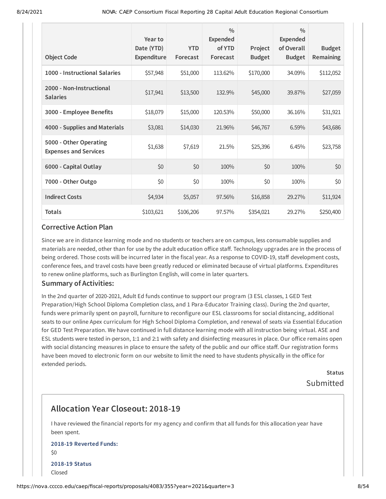| <b>Object Code</b>                                     | Year to<br>Date (YTD)<br>Expenditure | <b>YTD</b><br>Forecast | $\frac{0}{0}$<br><b>Expended</b><br>of YTD<br>Forecast | Project<br><b>Budget</b> | $\frac{0}{0}$<br><b>Expended</b><br>of Overall<br><b>Budget</b> | <b>Budget</b><br>Remaining |
|--------------------------------------------------------|--------------------------------------|------------------------|--------------------------------------------------------|--------------------------|-----------------------------------------------------------------|----------------------------|
| 1000 - Instructional Salaries                          | \$57,948                             | \$51,000               | 113.62%                                                | \$170,000                | 34.09%                                                          | \$112,052                  |
| 2000 - Non-Instructional<br><b>Salaries</b>            | \$17,941                             | \$13,500               | 132.9%                                                 | \$45,000                 | 39.87%                                                          | \$27,059                   |
| 3000 - Employee Benefits                               | \$18,079                             | \$15,000               | 120.53%                                                | \$50,000                 | 36.16%                                                          | \$31,921                   |
| 4000 - Supplies and Materials                          | \$3,081                              | \$14,030               | 21.96%                                                 | \$46,767                 | 6.59%                                                           | \$43,686                   |
| 5000 - Other Operating<br><b>Expenses and Services</b> | \$1,638                              | \$7,619                | 21.5%                                                  | \$25,396                 | 6.45%                                                           | \$23,758                   |
| 6000 - Capital Outlay                                  | \$0                                  | \$0                    | 100%                                                   | \$0                      | 100%                                                            | \$0                        |
| 7000 - Other Outgo                                     | \$0                                  | \$0                    | 100%                                                   | \$0                      | 100%                                                            | \$0                        |
| <b>Indirect Costs</b>                                  | \$4,934                              | \$5,057                | 97.56%                                                 | \$16,858                 | 29.27%                                                          | \$11,924                   |
| <b>Totals</b>                                          | \$103,621                            | \$106,206              | 97.57%                                                 | \$354,021                | 29.27%                                                          | \$250,400                  |

Since we are in distance learning mode and no students or teachers are on campus, less consumable supplies and materials are needed, other than for use by the adult education office staff. Technology upgrades are in the process of being ordered. Those costs will be incurred later in the fiscal year. As a response to COVID-19, staff development costs, conference fees, and travel costs have been greatly reduced or eliminated because of virtual platforms. Expenditures to renew online platforms, such as Burlington English, will come in later quarters.

#### **Summary of Activities:**

In the 2nd quarter of 2020-2021, Adult Ed funds continue to support our program (3 ESL classes, 1 GED Test Preparation/High School Diploma Completion class, and 1 Para-Educator Training class). During the 2nd quarter, funds were primarily spent on payroll, furniture to reconfigure our ESL classrooms for social distancing, additional seats to our online Apex curriculum for High School Diploma Completion, and renewal of seats via Essential Education for GED Test Preparation. We have continued in full distance learning mode with all instruction being virtual. ASE and ESL students were tested in-person, 1:1 and 2:1 with safety and disinfecting measures in place. Our office remains open with social distancing measures in place to ensure the safety of the public and our office staff. Our registration forms have been moved to electronic form on our website to limit the need to have students physically in the office for extended periods.

> **Status** Submitted

# **Allocation Year Closeout: 2018-19**

I have reviewed the financial reports for my agency and confirm that all funds for this allocation year have been spent.

### **2018-19 Reverted Funds:** \$0 **2018-19 Status** Closed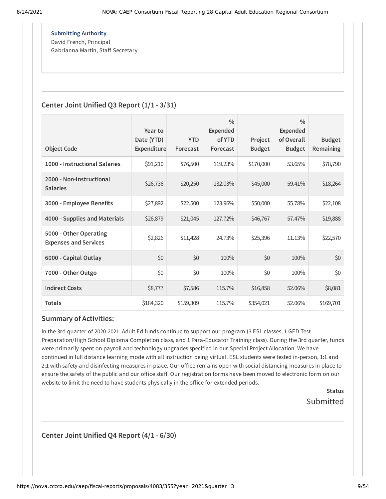**Submitting Authority** David French, Principal Gabrianna Martin, Staff Secretary

## **Center Joint Unified Q3 Report (1/1 - 3/31)**

| <b>Object Code</b>                                     | Year to<br>Date (YTD)<br>Expenditure | <b>YTD</b><br>Forecast | 0/0<br><b>Expended</b><br>of YTD<br>Forecast | Project<br><b>Budget</b> | $\frac{0}{0}$<br><b>Expended</b><br>of Overall<br><b>Budget</b> | <b>Budget</b><br><b>Remaining</b> |
|--------------------------------------------------------|--------------------------------------|------------------------|----------------------------------------------|--------------------------|-----------------------------------------------------------------|-----------------------------------|
| 1000 - Instructional Salaries                          | \$91,210                             | \$76,500               | 119.23%                                      | \$170,000                | 53.65%                                                          | \$78,790                          |
| 2000 - Non-Instructional<br><b>Salaries</b>            | \$26,736                             | \$20,250               | 132.03%                                      | \$45,000                 | 59.41%                                                          | \$18,264                          |
| 3000 - Employee Benefits                               | \$27,892                             | \$22,500               | 123.96%                                      | \$50,000                 | 55.78%                                                          | \$22,108                          |
| 4000 - Supplies and Materials                          | \$26,879                             | \$21,045               | 127.72%                                      | \$46,767                 | 57.47%                                                          | \$19,888                          |
| 5000 - Other Operating<br><b>Expenses and Services</b> | \$2,826                              | \$11,428               | 24.73%                                       | \$25,396                 | 11.13%                                                          | \$22,570                          |
| 6000 - Capital Outlay                                  | \$0                                  | \$0                    | 100%                                         | \$0                      | 100%                                                            | \$0                               |
| 7000 - Other Outgo                                     | \$0                                  | \$0                    | 100%                                         | \$0                      | 100%                                                            | \$0                               |
| <b>Indirect Costs</b>                                  | \$8,777                              | \$7,586                | 115.7%                                       | \$16,858                 | 52.06%                                                          | \$8,081                           |
| <b>Totals</b>                                          | \$184,320                            | \$159,309              | 115.7%                                       | \$354,021                | 52.06%                                                          | \$169,701                         |

#### **Summary of Activities:**

In the 3rd quarter of 2020-2021, Adult Ed funds continue to support our program (3 ESL classes, 1 GED Test Preparation/High School Diploma Completion class, and 1 Para-Educator Training class). During the 3rd quarter, funds were primarily spent on payroll and technology upgrades specified in our Special Project Allocation. We have continued in full distance learning mode with all instruction being virtual. ESL students were tested in-person, 1:1 and 2:1 with safety and disinfecting measures in place. Our office remains open with social distancing measures in place to ensure the safety of the public and our office staff. Our registration forms have been moved to electronic form on our website to limit the need to have students physically in the office for extended periods.

> **Status** Submitted

**Center Joint Unified Q4 Report (4/1 - 6/30)**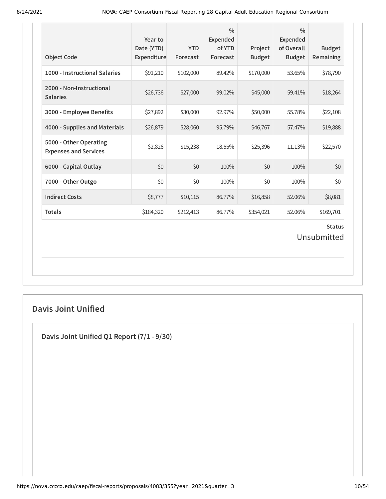| <b>Object Code</b>                                     | Year to<br>Date (YTD)<br>Expenditure | <b>YTD</b><br>Forecast | $\frac{0}{0}$<br>Expended<br>of YTD<br>Forecast | Project<br><b>Budget</b> | $\frac{0}{0}$<br><b>Expended</b><br>of Overall<br><b>Budget</b> | <b>Budget</b><br>Remaining   |
|--------------------------------------------------------|--------------------------------------|------------------------|-------------------------------------------------|--------------------------|-----------------------------------------------------------------|------------------------------|
| 1000 - Instructional Salaries                          | \$91,210                             | \$102,000              | 89.42%                                          | \$170,000                | 53.65%                                                          | \$78,790                     |
| 2000 - Non-Instructional<br><b>Salaries</b>            | \$26,736                             | \$27,000               | 99.02%                                          | \$45,000                 | 59.41%                                                          | \$18,264                     |
| 3000 - Employee Benefits                               | \$27,892                             | \$30,000               | 92.97%                                          | \$50,000                 | 55.78%                                                          | \$22,108                     |
| 4000 - Supplies and Materials                          | \$26,879                             | \$28,060               | 95.79%                                          | \$46,767                 | 57.47%                                                          | \$19,888                     |
| 5000 - Other Operating<br><b>Expenses and Services</b> | \$2,826                              | \$15,238               | 18.55%                                          | \$25,396                 | 11.13%                                                          | \$22,570                     |
| 6000 - Capital Outlay                                  | \$0                                  | \$0                    | 100%                                            | \$0                      | 100%                                                            | \$0                          |
| 7000 - Other Outgo                                     | \$0                                  | \$0                    | 100%                                            | \$0                      | 100%                                                            | \$0                          |
| <b>Indirect Costs</b>                                  | \$8,777                              | \$10,115               | 86.77%                                          | \$16,858                 | 52.06%                                                          | \$8,081                      |
| <b>Totals</b>                                          | \$184,320                            | \$212,413              | 86.77%                                          | \$354,021                | 52.06%                                                          | \$169,701                    |
|                                                        |                                      |                        |                                                 |                          |                                                                 | <b>Status</b><br>Unsubmitted |

# **Davis Joint Unified**

**Davis Joint Unified Q1 Report (7/1 - 9/30)**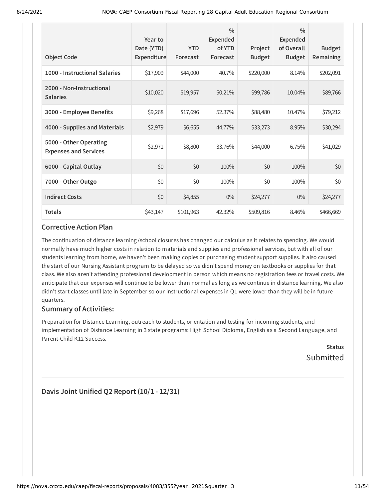| <b>Object Code</b>                                     | Year to<br>Date (YTD)<br>Expenditure | <b>YTD</b><br>Forecast | $\frac{0}{0}$<br><b>Expended</b><br>of YTD<br>Forecast | Project<br><b>Budget</b> | $\frac{0}{0}$<br><b>Expended</b><br>of Overall<br><b>Budget</b> | <b>Budget</b><br>Remaining |
|--------------------------------------------------------|--------------------------------------|------------------------|--------------------------------------------------------|--------------------------|-----------------------------------------------------------------|----------------------------|
| 1000 - Instructional Salaries                          | \$17,909                             | \$44,000               | 40.7%                                                  | \$220,000                | 8.14%                                                           | \$202,091                  |
| 2000 - Non-Instructional<br><b>Salaries</b>            | \$10,020                             | \$19,957               | 50.21%                                                 | \$99,786                 | 10.04%                                                          | \$89,766                   |
| 3000 - Employee Benefits                               | \$9,268                              | \$17,696               | 52.37%                                                 | \$88,480                 | 10.47%                                                          | \$79,212                   |
| 4000 - Supplies and Materials                          | \$2,979                              | \$6,655                | 44.77%                                                 | \$33,273                 | 8.95%                                                           | \$30,294                   |
| 5000 - Other Operating<br><b>Expenses and Services</b> | \$2,971                              | \$8,800                | 33.76%                                                 | \$44,000                 | 6.75%                                                           | \$41,029                   |
| 6000 - Capital Outlay                                  | \$0                                  | \$0                    | 100%                                                   | \$0                      | 100%                                                            | \$0                        |
| 7000 - Other Outgo                                     | \$0                                  | \$0                    | 100%                                                   | \$0                      | 100%                                                            | \$0                        |
| <b>Indirect Costs</b>                                  | \$0                                  | \$4,855                | $0\%$                                                  | \$24,277                 | $0\%$                                                           | \$24,277                   |
| <b>Totals</b>                                          | \$43,147                             | \$101,963              | 42.32%                                                 | \$509,816                | 8.46%                                                           | \$466,669                  |

The continuation of distance learning /school closures has changed our calculus as it relates to spending. We would normally have much higher costs in relation to materials and supplies and professional services, but with all of our students learning from home, we haven't been making copies or purchasing student support supplies. It also caused the start of our Nursing Assistant program to be delayed so we didn't spend money on textbooks or supplies for that class. We also aren't attending professional development in person which means no registration fees or travel costs. We anticipate that our expenses will continue to be lower than normal as long as we continue in distance learning. We also didn't start classes until late in September so our instructional expenses in Q1 were lower than they will be in future quarters.

#### **Summary of Activities:**

Preparation for Distance Learning, outreach to students, orientation and testing for incoming students, and implementation of Distance Learning in 3 state programs: High School Diploma, English as a Second Language, and Parent-Child K12 Success.

**Status** Submitted

**Davis Joint Unified Q2 Report (10/1 - 12/31)**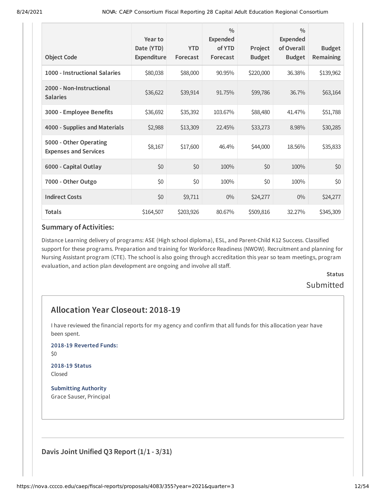| <b>Object Code</b>                                     | Year to<br>Date (YTD)<br>Expenditure | <b>YTD</b><br>Forecast | $\frac{0}{0}$<br><b>Expended</b><br>of YTD<br>Forecast | Project<br><b>Budget</b> | $\frac{0}{0}$<br><b>Expended</b><br>of Overall<br><b>Budget</b> | <b>Budget</b><br>Remaining |
|--------------------------------------------------------|--------------------------------------|------------------------|--------------------------------------------------------|--------------------------|-----------------------------------------------------------------|----------------------------|
|                                                        |                                      |                        |                                                        |                          |                                                                 |                            |
| 1000 - Instructional Salaries                          | \$80,038                             | \$88,000               | 90.95%                                                 | \$220,000                | 36.38%                                                          | \$139,962                  |
| 2000 - Non-Instructional<br><b>Salaries</b>            | \$36,622                             | \$39,914               | 91.75%                                                 | \$99,786                 | 36.7%                                                           | \$63,164                   |
| 3000 - Employee Benefits                               | \$36,692                             | \$35,392               | 103.67%                                                | \$88,480                 | 41.47%                                                          | \$51,788                   |
| 4000 - Supplies and Materials                          | \$2,988                              | \$13,309               | 22.45%                                                 | \$33,273                 | 8.98%                                                           | \$30,285                   |
| 5000 - Other Operating<br><b>Expenses and Services</b> | \$8,167                              | \$17,600               | 46.4%                                                  | \$44,000                 | 18.56%                                                          | \$35,833                   |
| 6000 - Capital Outlay                                  | \$0                                  | \$0                    | 100%                                                   | \$0                      | 100%                                                            | \$0                        |
| 7000 - Other Outgo                                     | \$0                                  | \$0                    | 100%                                                   | \$0                      | 100%                                                            | \$0                        |
| <b>Indirect Costs</b>                                  | \$0                                  | \$9,711                | $0\%$                                                  | \$24,277                 | $0\%$                                                           | \$24,277                   |
| <b>Totals</b>                                          | \$164,507                            | \$203,926              | 80.67%                                                 | \$509,816                | 32.27%                                                          | \$345,309                  |

Distance Learning delivery of programs: ASE (High school diploma), ESL, and Parent-Child K12 Success. Classified support for these programs. Preparation and training for Workforce Readiness (NWOW). Recruitment and planning for Nursing Assistant program (CTE). The school is also going through accreditation this year so team meetings, program evaluation, and action plan development are ongoing and involve all staff.

# **Status** Submitted

# **Allocation Year Closeout: 2018-19**

I have reviewed the financial reports for my agency and confirm that all funds for this allocation year have been spent.

**2018-19 Reverted Funds:**

\$0

#### **2018-19 Status** Closed

**Submitting Authority** Grace Sauser, Principal

**Davis Joint Unified Q3 Report (1/1 - 3/31)**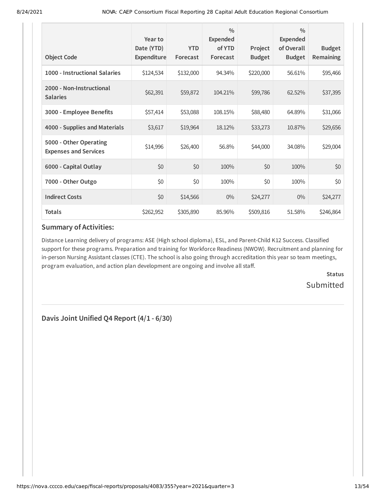| <b>Object Code</b>                                     | Year to<br>Date (YTD)<br>Expenditure | <b>YTD</b><br>Forecast | $\frac{0}{0}$<br>Expended<br>of YTD<br>Forecast | Project<br><b>Budget</b> | $\frac{0}{0}$<br><b>Expended</b><br>of Overall<br><b>Budget</b> | <b>Budget</b><br>Remaining |
|--------------------------------------------------------|--------------------------------------|------------------------|-------------------------------------------------|--------------------------|-----------------------------------------------------------------|----------------------------|
| 1000 - Instructional Salaries                          | \$124,534                            | \$132,000              | 94.34%                                          | \$220,000                | 56.61%                                                          | \$95,466                   |
| 2000 - Non-Instructional<br><b>Salaries</b>            | \$62,391                             | \$59,872               | 104.21%                                         | \$99,786                 | 62.52%                                                          | \$37,395                   |
| 3000 - Employee Benefits                               | \$57,414                             | \$53,088               | 108.15%                                         | \$88,480                 | 64.89%                                                          | \$31,066                   |
| 4000 - Supplies and Materials                          | \$3,617                              | \$19,964               | 18.12%                                          | \$33,273                 | 10.87%                                                          | \$29,656                   |
| 5000 - Other Operating<br><b>Expenses and Services</b> | \$14,996                             | \$26,400               | 56.8%                                           | \$44,000                 | 34.08%                                                          | \$29,004                   |
| 6000 - Capital Outlay                                  | \$0                                  | \$0                    | 100%                                            | \$0                      | 100%                                                            | \$0                        |
| 7000 - Other Outgo                                     | \$0                                  | \$0                    | 100%                                            | \$0                      | 100%                                                            | \$0                        |
| <b>Indirect Costs</b>                                  | \$0                                  | \$14,566               | $0\%$                                           | \$24,277                 | $0\%$                                                           | \$24,277                   |
| <b>Totals</b>                                          | \$262,952                            | \$305,890              | 85.96%                                          | \$509,816                | 51.58%                                                          | \$246,864                  |

Distance Learning delivery of programs: ASE (High school diploma), ESL, and Parent-Child K12 Success. Classified support for these programs. Preparation and training for Workforce Readiness (NWOW). Recruitment and planning for in-person Nursing Assistant classes (CTE). The school is also going through accreditation this year so team meetings, program evaluation, and action plan development are ongoing and involve all staff.

> **Status Submitted**

**Davis Joint Unified Q4 Report (4/1 - 6/30)**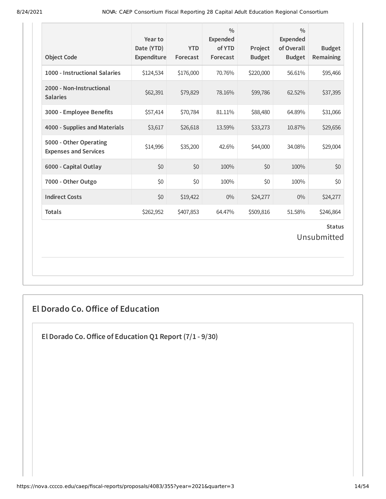| <b>Object Code</b>                                     | Year to<br>Date (YTD)<br>Expenditure | <b>YTD</b><br>Forecast | $\frac{0}{0}$<br>Expended<br>of YTD<br>Forecast | Project<br><b>Budget</b> | $\frac{0}{0}$<br><b>Expended</b><br>of Overall<br><b>Budget</b> | <b>Budget</b><br>Remaining |  |
|--------------------------------------------------------|--------------------------------------|------------------------|-------------------------------------------------|--------------------------|-----------------------------------------------------------------|----------------------------|--|
| 1000 - Instructional Salaries                          | \$124,534                            | \$176,000              | 70.76%                                          | \$220,000                | 56.61%                                                          | \$95,466                   |  |
| 2000 - Non-Instructional<br><b>Salaries</b>            | \$62,391                             | \$79,829               | 78.16%                                          | \$99,786                 | 62.52%                                                          | \$37,395                   |  |
| 3000 - Employee Benefits                               | \$57,414                             | \$70,784               | 81.11%                                          | \$88,480                 | 64.89%                                                          | \$31,066                   |  |
| 4000 - Supplies and Materials                          | \$3,617                              | \$26,618               | 13.59%                                          | \$33,273                 | 10.87%                                                          | \$29,656                   |  |
| 5000 - Other Operating<br><b>Expenses and Services</b> | \$14,996                             | \$35,200               | 42.6%                                           | \$44,000                 | 34.08%                                                          | \$29,004                   |  |
| 6000 - Capital Outlay                                  | \$0                                  | \$0                    | 100%                                            | \$0                      | 100%                                                            | \$0                        |  |
| 7000 - Other Outgo                                     | \$0                                  | \$0                    | 100%                                            | \$0                      | 100%                                                            | \$0                        |  |
| <b>Indirect Costs</b>                                  | \$0                                  | \$19,422               | $0\%$                                           | \$24,277                 | $0\%$                                                           | \$24,277                   |  |
| <b>Totals</b>                                          | \$262,952                            | \$407,853              | 64.47%                                          | \$509,816                | 51.58%                                                          | \$246,864                  |  |
| <b>Status</b><br>Unsubmitted                           |                                      |                        |                                                 |                          |                                                                 |                            |  |

# **El Dorado Co. Office of Education**

**El Dorado Co.Office of Education Q1 Report (7/1 - 9/30)**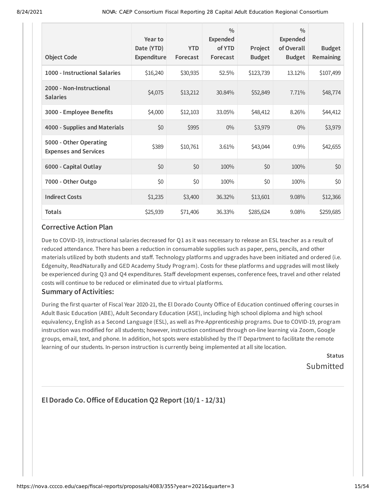| <b>Object Code</b>                                     | Year to<br>Date (YTD)<br>Expenditure | <b>YTD</b><br>Forecast | $\frac{0}{0}$<br>Expended<br>of YTD<br>Forecast | Project<br><b>Budget</b> | $\frac{0}{0}$<br>Expended<br>of Overall<br><b>Budget</b> | <b>Budget</b><br>Remaining |
|--------------------------------------------------------|--------------------------------------|------------------------|-------------------------------------------------|--------------------------|----------------------------------------------------------|----------------------------|
| 1000 - Instructional Salaries                          | \$16,240                             | \$30,935               | 52.5%                                           | \$123,739                | 13.12%                                                   | \$107,499                  |
| 2000 - Non-Instructional<br><b>Salaries</b>            | \$4,075                              | \$13,212               | 30.84%                                          | \$52,849                 | 7.71%                                                    | \$48,774                   |
| 3000 - Employee Benefits                               | \$4,000                              | \$12,103               | 33.05%                                          | \$48,412                 | 8.26%                                                    | \$44,412                   |
| 4000 - Supplies and Materials                          | \$0                                  | \$995                  | $0\%$                                           | \$3,979                  | $0\%$                                                    | \$3,979                    |
| 5000 - Other Operating<br><b>Expenses and Services</b> | \$389                                | \$10,761               | 3.61%                                           | \$43,044                 | 0.9%                                                     | \$42,655                   |
| 6000 - Capital Outlay                                  | \$0                                  | \$0                    | 100%                                            | \$0                      | 100%                                                     | \$0                        |
| 7000 - Other Outgo                                     | \$0                                  | \$0                    | 100%                                            | \$0                      | 100%                                                     | \$0                        |
| <b>Indirect Costs</b>                                  | \$1,235                              | \$3,400                | 36.32%                                          | \$13,601                 | 9.08%                                                    | \$12,366                   |
| <b>Totals</b>                                          | \$25,939                             | \$71,406               | 36.33%                                          | \$285,624                | 9.08%                                                    | \$259,685                  |

Due to COVID-19, instructional salaries decreased for Q1 as it was necessary to release an ESL teacher as a result of reduced attendance. There has been a reduction in consumable supplies such as paper, pens, pencils, and other materials utilized by both students and staff. Technology platforms and upgrades have been initiated and ordered (i.e. Edgenuity, ReadNaturally and GED Academy Study Program). Costs for these platforms and upgrades will most likely be experienced during Q3 and Q4 expenditures. Staff development expenses, conference fees, travel and other related costs will continue to be reduced or eliminated due to virtual platforms.

#### **Summary of Activities:**

During the first quarter of Fiscal Year 2020-21, the El Dorado County Office of Education continued offering courses in Adult Basic Education (ABE), Adult Secondary Education (ASE), including high school diploma and high school equivalency, English as a Second Language (ESL), as well as Pre-Apprenticeship programs. Due to COVID-19, program instruction was modified for all students; however, instruction continued through on-line learning via Zoom, Google groups, email, text, and phone. In addition, hot spots were established by the IT Department to facilitate the remote learning of our students. In-person instruction is currently being implemented at all site location.

> **Status** Submitted

# **El Dorado Co.Office of Education Q2 Report (10/1 - 12/31)**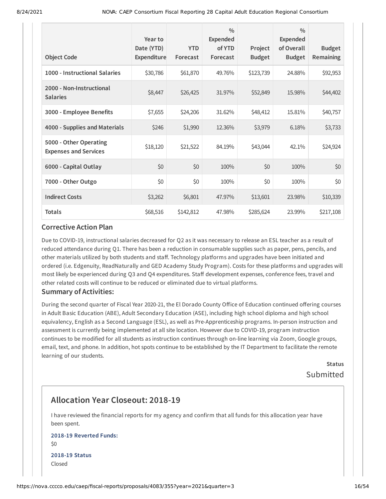|                                                        | Year to<br>Date (YTD) | <b>YTD</b> | $\frac{0}{0}$<br><b>Expended</b><br>of YTD | Project       | $\frac{0}{0}$<br><b>Expended</b><br>of Overall | <b>Budget</b> |
|--------------------------------------------------------|-----------------------|------------|--------------------------------------------|---------------|------------------------------------------------|---------------|
| <b>Object Code</b>                                     | <b>Expenditure</b>    | Forecast   | Forecast                                   | <b>Budget</b> | <b>Budget</b>                                  | Remaining     |
| 1000 - Instructional Salaries                          | \$30,786              | \$61,870   | 49.76%                                     | \$123,739     | 24.88%                                         | \$92,953      |
| 2000 - Non-Instructional<br><b>Salaries</b>            | \$8,447               | \$26,425   | 31.97%                                     | \$52,849      | 15.98%                                         | \$44,402      |
| 3000 - Employee Benefits                               | \$7,655               | \$24,206   | 31.62%                                     | \$48,412      | 15.81%                                         | \$40,757      |
| 4000 - Supplies and Materials                          | \$246                 | \$1,990    | 12.36%                                     | \$3,979       | 6.18%                                          | \$3,733       |
| 5000 - Other Operating<br><b>Expenses and Services</b> | \$18,120              | \$21,522   | 84.19%                                     | \$43,044      | 42.1%                                          | \$24,924      |
| 6000 - Capital Outlay                                  | \$0                   | \$0        | 100%                                       | \$0           | 100%                                           | \$0           |
| 7000 - Other Outgo                                     | \$0                   | \$0        | 100%                                       | \$0           | 100%                                           | \$0           |
| <b>Indirect Costs</b>                                  | \$3,262               | \$6,801    | 47.97%                                     | \$13,601      | 23.98%                                         | \$10,339      |
| <b>Totals</b>                                          | \$68,516              | \$142,812  | 47.98%                                     | \$285,624     | 23.99%                                         | \$217,108     |

Due to COVID-19, instructional salaries decreased for Q2 as it was necessary to release an ESL teacher as a result of reduced attendance during Q1. There has been a reduction in consumable supplies such as paper, pens, pencils, and other materials utilized by both students and staff. Technology platforms and upgrades have been initiated and ordered (i.e. Edgenuity, ReadNaturally and GED Academy Study Program). Costs for these platforms and upgrades will most likely be experienced during Q3 and Q4 expenditures. Staff development expenses, conference fees, travel and other related costs will continue to be reduced or eliminated due to virtual platforms.

#### **Summary of Activities:**

During the second quarter of Fiscal Year 2020-21, the El Dorado County Office of Education continued offering courses in Adult Basic Education (ABE), Adult Secondary Education (ASE), including high school diploma and high school equivalency, English as a Second Language (ESL), as well as Pre-Apprenticeship programs. In-person instruction and assessment is currently being implemented at all site location. However due to COVID-19, program instruction continues to be modified for all students as instruction continues through on-line learning via Zoom, Google groups, email, text, and phone. In addition, hot spots continue to be established by the IT Department to facilitate the remote learning of our students.

> **Status** Submitted

# **Allocation Year Closeout: 2018-19**

I have reviewed the financial reports for my agency and confirm that all funds for this allocation year have been spent.

#### **2018-19 Reverted Funds:** \$0

**2018-19 Status** Closed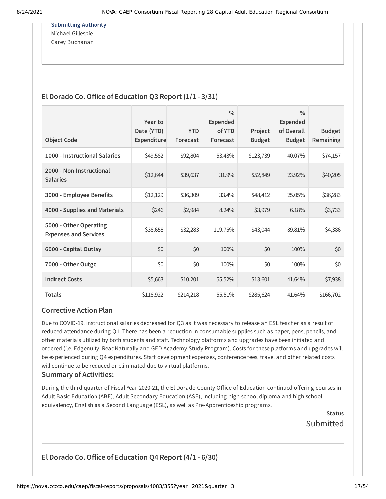**Submitting Authority** Michael Gillespie Carey Buchanan

## **El Dorado Co.Office of Education Q3 Report (1/1 - 3/31)**

|                                                        | Year to                   |                        | $\frac{0}{0}$<br><b>Expended</b> |                          | $\frac{0}{0}$<br>Expended   |                            |
|--------------------------------------------------------|---------------------------|------------------------|----------------------------------|--------------------------|-----------------------------|----------------------------|
| <b>Object Code</b>                                     | Date (YTD)<br>Expenditure | <b>YTD</b><br>Forecast | of YTD<br>Forecast               | Project<br><b>Budget</b> | of Overall<br><b>Budget</b> | <b>Budget</b><br>Remaining |
| 1000 - Instructional Salaries                          | \$49,582                  | \$92,804               | 53.43%                           | \$123,739                | 40.07%                      | \$74,157                   |
| 2000 - Non-Instructional<br><b>Salaries</b>            | \$12,644                  | \$39,637               | 31.9%                            | \$52,849                 | 23.92%                      | \$40,205                   |
| 3000 - Employee Benefits                               | \$12,129                  | \$36,309               | 33.4%                            | \$48,412                 | 25.05%                      | \$36,283                   |
| 4000 - Supplies and Materials                          | \$246                     | \$2,984                | 8.24%                            | \$3,979                  | 6.18%                       | \$3,733                    |
| 5000 - Other Operating<br><b>Expenses and Services</b> | \$38,658                  | \$32,283               | 119.75%                          | \$43,044                 | 89.81%                      | \$4,386                    |
| 6000 - Capital Outlay                                  | \$0                       | \$0                    | 100%                             | \$0                      | 100%                        | \$0                        |
| 7000 - Other Outgo                                     | \$0                       | \$0                    | 100%                             | \$0                      | 100%                        | \$0                        |
| <b>Indirect Costs</b>                                  | \$5,663                   | \$10,201               | 55.52%                           | \$13,601                 | 41.64%                      | \$7,938                    |
| <b>Totals</b>                                          | \$118,922                 | \$214,218              | 55.51%                           | \$285,624                | 41.64%                      | \$166,702                  |

#### **Corrective Action Plan**

Due to COVID-19, instructional salaries decreased for Q3 as it was necessary to release an ESL teacher as a result of reduced attendance during Q1. There has been a reduction in consumable supplies such as paper, pens, pencils, and other materials utilized by both students and staff. Technology platforms and upgrades have been initiated and ordered (i.e. Edgenuity, ReadNaturally and GED Academy Study Program). Costs for these platforms and upgrades will be experienced during Q4 expenditures. Staff development expenses, conference fees, travel and other related costs will continue to be reduced or eliminated due to virtual platforms.

#### **Summary of Activities:**

During the third quarter of Fiscal Year 2020-21, the El Dorado County Office of Education continued offering courses in Adult Basic Education (ABE), Adult Secondary Education (ASE), including high school diploma and high school equivalency, English as a Second Language (ESL), as well as Pre-Apprenticeship programs.

> **Status** Submitted

# **El Dorado Co.Office of Education Q4 Report (4/1 - 6/30)**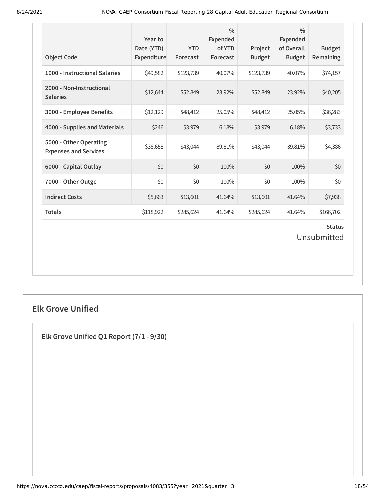| <b>Object Code</b>                                     | Year to<br>Date (YTD)<br>Expenditure | <b>YTD</b><br>Forecast | $\frac{0}{0}$<br>Expended<br>of YTD<br>Forecast | Project<br><b>Budget</b> | $\frac{0}{0}$<br>Expended<br>of Overall<br><b>Budget</b> | <b>Budget</b><br>Remaining |  |
|--------------------------------------------------------|--------------------------------------|------------------------|-------------------------------------------------|--------------------------|----------------------------------------------------------|----------------------------|--|
| 1000 - Instructional Salaries                          | \$49,582                             | \$123,739              | 40.07%                                          | \$123,739                | 40.07%                                                   | \$74,157                   |  |
| 2000 - Non-Instructional<br><b>Salaries</b>            | \$12,644                             | \$52,849               | 23.92%                                          | \$52,849                 | 23.92%                                                   | \$40,205                   |  |
| 3000 - Employee Benefits                               | \$12,129                             | \$48,412               | 25.05%                                          | \$48,412                 | 25.05%                                                   | \$36,283                   |  |
| 4000 - Supplies and Materials                          | \$246                                | \$3,979                | 6.18%                                           | \$3,979                  | 6.18%                                                    | \$3,733                    |  |
| 5000 - Other Operating<br><b>Expenses and Services</b> | \$38,658                             | \$43,044               | 89.81%                                          | \$43,044                 | 89.81%                                                   | \$4,386                    |  |
| 6000 - Capital Outlay                                  | \$0                                  | \$0                    | 100%                                            | \$0                      | 100%                                                     | \$0                        |  |
| 7000 - Other Outgo                                     | \$0                                  | \$0                    | 100%                                            | \$0                      | 100%                                                     | \$0                        |  |
| <b>Indirect Costs</b>                                  | \$5,663                              | \$13,601               | 41.64%                                          | \$13,601                 | 41.64%                                                   | \$7,938                    |  |
| <b>Totals</b>                                          | \$118,922                            | \$285,624              | 41.64%                                          | \$285,624                | 41.64%                                                   | \$166,702                  |  |
| <b>Status</b><br>Unsubmitted                           |                                      |                        |                                                 |                          |                                                          |                            |  |

# **Elk Grove Unified**

**Elk Grove Unified Q1 Report (7/1 - 9/30)**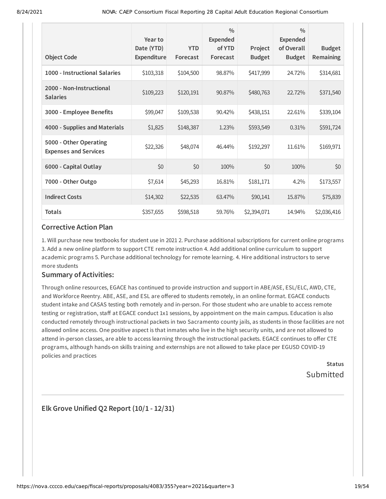| <b>Object Code</b>                                     | Year to<br>Date (YTD)<br>Expenditure | <b>YTD</b><br>Forecast | $\frac{0}{0}$<br><b>Expended</b><br>of YTD<br>Forecast | Project<br><b>Budget</b> | $\frac{0}{0}$<br>Expended<br>of Overall<br><b>Budget</b> | <b>Budget</b><br>Remaining |
|--------------------------------------------------------|--------------------------------------|------------------------|--------------------------------------------------------|--------------------------|----------------------------------------------------------|----------------------------|
| 1000 - Instructional Salaries                          | \$103,318                            | \$104,500              | 98.87%                                                 | \$417,999                | 24.72%                                                   | \$314,681                  |
| 2000 - Non-Instructional<br><b>Salaries</b>            | \$109,223                            | \$120,191              | 90.87%                                                 | \$480,763                | 22.72%                                                   | \$371,540                  |
| 3000 - Employee Benefits                               | \$99,047                             | \$109,538              | 90.42%                                                 | \$438,151                | 22.61%                                                   | \$339,104                  |
| 4000 - Supplies and Materials                          | \$1,825                              | \$148,387              | 1.23%                                                  | \$593,549                | 0.31%                                                    | \$591,724                  |
| 5000 - Other Operating<br><b>Expenses and Services</b> | \$22,326                             | \$48,074               | 46.44%                                                 | \$192,297                | 11.61%                                                   | \$169,971                  |
| 6000 - Capital Outlay                                  | \$0                                  | \$0                    | 100%                                                   | \$0                      | 100%                                                     | \$0                        |
| 7000 - Other Outgo                                     | \$7,614                              | \$45,293               | 16.81%                                                 | \$181,171                | 4.2%                                                     | \$173,557                  |
| <b>Indirect Costs</b>                                  | \$14,302                             | \$22,535               | 63.47%                                                 | \$90,141                 | 15.87%                                                   | \$75,839                   |
| <b>Totals</b>                                          | \$357,655                            | \$598,518              | 59.76%                                                 | \$2,394,071              | 14.94%                                                   | \$2,036,416                |

1. Will purchase new textbooks for student use in 2021 2. Purchase additional subscriptions for current online programs 3. Add a new online platform to support CTE remote instruction 4. Add additional online curriculum to support academic programs 5. Purchase additional technology for remote learning. 4. Hire additional instructors to serve more students

#### **Summary of Activities:**

Through online resources, EGACE has continued to provide instruction and support in ABE/ASE, ESL/ELC, AWD, CTE, and Workforce Reentry. ABE, ASE, and ESL are offered to students remotely, in an online format. EGACE conducts student intake and CASAS testing both remotely and in-person. For those student who are unable to access remote testing or registration, staff at EGACE conduct 1x1 sessions, by appointment on the main campus. Education is also conducted remotely through instructional packets in two Sacramento county jails, as students in those facilities are not allowed online access. One positive aspect is that inmates who live in the high security units, and are not allowed to attend in-person classes, are able to access learning through the instructional packets. EGACE continues to offer CTE programs, although hands-on skills training and externships are not allowed to take place per EGUSD COVID-19 policies and practices

> **Status** Submitted

**Elk Grove Unified Q2 Report (10/1 - 12/31)**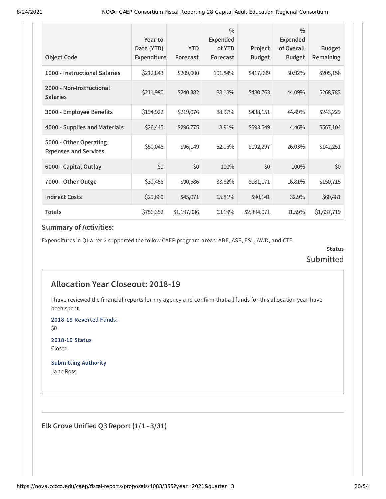|                                                        | Year to                          |                        | $\frac{0}{0}$<br><b>Expended</b> |                          | $\frac{0}{0}$<br><b>Expended</b> |                            |
|--------------------------------------------------------|----------------------------------|------------------------|----------------------------------|--------------------------|----------------------------------|----------------------------|
| <b>Object Code</b>                                     | Date (YTD)<br><b>Expenditure</b> | <b>YTD</b><br>Forecast | of YTD<br>Forecast               | Project<br><b>Budget</b> | of Overall<br><b>Budget</b>      | <b>Budget</b><br>Remaining |
| 1000 - Instructional Salaries                          | \$212,843                        | \$209,000              | 101.84%                          | \$417,999                | 50.92%                           | \$205,156                  |
| 2000 - Non-Instructional<br><b>Salaries</b>            | \$211,980                        | \$240,382              | 88.18%                           | \$480,763                | 44.09%                           | \$268,783                  |
| 3000 - Employee Benefits                               | \$194,922                        | \$219,076              | 88.97%                           | \$438,151                | 44.49%                           | \$243,229                  |
| 4000 - Supplies and Materials                          | \$26,445                         | \$296,775              | 8.91%                            | \$593,549                | 4.46%                            | \$567,104                  |
| 5000 - Other Operating<br><b>Expenses and Services</b> | \$50,046                         | \$96,149               | 52.05%                           | \$192,297                | 26.03%                           | \$142,251                  |
| 6000 - Capital Outlay                                  | \$0                              | \$0                    | 100%                             | \$0                      | 100%                             | \$0                        |
| 7000 - Other Outgo                                     | \$30,456                         | \$90,586               | 33.62%                           | \$181,171                | 16.81%                           | \$150,715                  |
| <b>Indirect Costs</b>                                  | \$29,660                         | \$45,071               | 65.81%                           | \$90,141                 | 32.9%                            | \$60,481                   |
| <b>Totals</b>                                          | \$756,352                        | \$1,197,036            | 63.19%                           | \$2,394,071              | 31.59%                           | \$1,637,719                |

Expenditures in Quarter 2 supported the follow CAEP program areas: ABE, ASE, ESL, AWD, and CTE.

**Status** Submitted

# **Allocation Year Closeout: 2018-19**

I have reviewed the financial reports for my agency and confirm that all funds for this allocation year have been spent.

**2018-19 Reverted Funds:**

\$0

**2018-19 Status** Closed

**Submitting Authority** Jane Ross

**Elk Grove Unified Q3 Report (1/1 - 3/31)**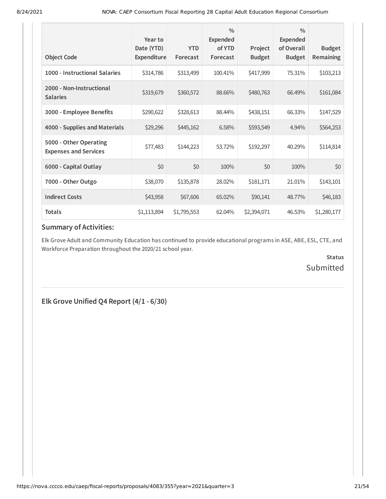| <b>Object Code</b>                                     | Year to<br>Date (YTD)<br>Expenditure | <b>YTD</b><br>Forecast | $\frac{0}{0}$<br><b>Expended</b><br>of YTD<br>Forecast | Project<br><b>Budget</b> | $\frac{0}{0}$<br><b>Expended</b><br>of Overall<br><b>Budget</b> | <b>Budget</b><br>Remaining |
|--------------------------------------------------------|--------------------------------------|------------------------|--------------------------------------------------------|--------------------------|-----------------------------------------------------------------|----------------------------|
| 1000 - Instructional Salaries                          | \$314,786                            | \$313,499              | 100.41%                                                | \$417,999                | 75.31%                                                          | \$103,213                  |
| 2000 - Non-Instructional<br><b>Salaries</b>            | \$319,679                            | \$360,572              | 88.66%                                                 | \$480,763                | 66.49%                                                          | \$161,084                  |
| 3000 - Employee Benefits                               | \$290,622                            | \$328,613              | 88.44%                                                 | \$438,151                | 66.33%                                                          | \$147,529                  |
| 4000 - Supplies and Materials                          | \$29,296                             | \$445,162              | 6.58%                                                  | \$593,549                | 4.94%                                                           | \$564,253                  |
| 5000 - Other Operating<br><b>Expenses and Services</b> | \$77,483                             | \$144,223              | 53.72%                                                 | \$192,297                | 40.29%                                                          | \$114,814                  |
| 6000 - Capital Outlay                                  | \$0                                  | \$0                    | 100%                                                   | \$0                      | 100%                                                            | \$0                        |
| 7000 - Other Outgo                                     | \$38,070                             | \$135,878              | 28.02%                                                 | \$181,171                | 21.01%                                                          | \$143,101                  |
| <b>Indirect Costs</b>                                  | \$43,958                             | \$67,606               | 65.02%                                                 | \$90,141                 | 48.77%                                                          | \$46,183                   |
| <b>Totals</b>                                          | \$1,113,894                          | \$1,795,553            | 62.04%                                                 | \$2,394,071              | 46.53%                                                          | \$1,280,177                |

Elk Grove Adult and Community Education has continued to provide educational programs in ASE, ABE, ESL, CTE, and Workforce Preparation throughout the 2020/21 school year.

> **Status** Submitted

**Elk Grove Unified Q4 Report (4/1 - 6/30)**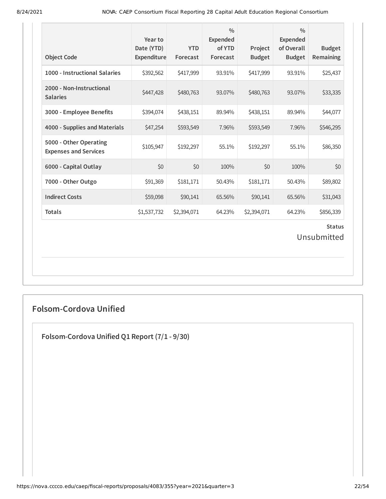| <b>Object Code</b>                                     | Year to<br>Date (YTD)<br>Expenditure | <b>YTD</b><br>Forecast | $\frac{0}{0}$<br><b>Expended</b><br>of YTD<br>Forecast | Project<br><b>Budget</b> | $\frac{0}{0}$<br><b>Expended</b><br>of Overall<br><b>Budget</b> | <b>Budget</b><br>Remaining |  |
|--------------------------------------------------------|--------------------------------------|------------------------|--------------------------------------------------------|--------------------------|-----------------------------------------------------------------|----------------------------|--|
| 1000 - Instructional Salaries                          | \$392,562                            | \$417,999              | 93.91%                                                 | \$417,999                | 93.91%                                                          | \$25,437                   |  |
| 2000 - Non-Instructional<br><b>Salaries</b>            | \$447,428                            | \$480,763              | 93.07%                                                 | \$480,763                | 93.07%                                                          | \$33,335                   |  |
| 3000 - Employee Benefits                               | \$394,074                            | \$438,151              | 89.94%                                                 | \$438,151                | 89.94%                                                          | \$44,077                   |  |
| 4000 - Supplies and Materials                          | \$47,254                             | \$593,549              | 7.96%                                                  | \$593,549                | 7.96%                                                           | \$546,295                  |  |
| 5000 - Other Operating<br><b>Expenses and Services</b> | \$105,947                            | \$192,297              | 55.1%                                                  | \$192,297                | 55.1%                                                           | \$86,350                   |  |
| 6000 - Capital Outlay                                  | \$0                                  | \$0                    | 100%                                                   | \$0                      | 100%                                                            | \$0                        |  |
| 7000 - Other Outgo                                     | \$91,369                             | \$181,171              | 50.43%                                                 | \$181,171                | 50.43%                                                          | \$89,802                   |  |
| <b>Indirect Costs</b>                                  | \$59,098                             | \$90,141               | 65.56%                                                 | \$90,141                 | 65.56%                                                          | \$31,043                   |  |
| <b>Totals</b>                                          | \$1,537,732                          | \$2,394,071            | 64.23%                                                 | \$2,394,071              | 64.23%                                                          | \$856,339                  |  |
| <b>Status</b><br>Unsubmitted                           |                                      |                        |                                                        |                          |                                                                 |                            |  |

# **Folsom-Cordova Unified**

**Folsom-Cordova Unified Q1 Report (7/1 - 9/30)**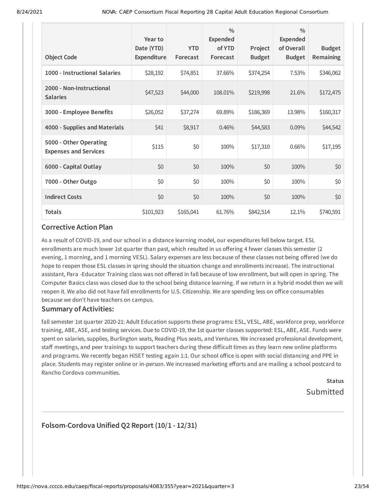| <b>Object Code</b>                                     | Year to<br>Date (YTD)<br>Expenditure | <b>YTD</b><br>Forecast | $\frac{0}{0}$<br><b>Expended</b><br>of YTD<br>Forecast | Project<br><b>Budget</b> | $\frac{0}{0}$<br>Expended<br>of Overall<br><b>Budget</b> | <b>Budget</b><br><b>Remaining</b> |
|--------------------------------------------------------|--------------------------------------|------------------------|--------------------------------------------------------|--------------------------|----------------------------------------------------------|-----------------------------------|
| 1000 - Instructional Salaries                          | \$28,192                             | \$74,851               | 37.66%                                                 | \$374,254                | 7.53%                                                    | \$346,062                         |
| 2000 - Non-Instructional<br><b>Salaries</b>            | \$47,523                             | \$44,000               | 108.01%                                                | \$219,998                | 21.6%                                                    | \$172,475                         |
| 3000 - Employee Benefits                               | \$26,052                             | \$37,274               | 69.89%                                                 | \$186,369                | 13.98%                                                   | \$160,317                         |
| 4000 - Supplies and Materials                          | \$41                                 | \$8,917                | 0.46%                                                  | \$44,583                 | 0.09%                                                    | \$44,542                          |
| 5000 - Other Operating<br><b>Expenses and Services</b> | \$115                                | \$0                    | 100%                                                   | \$17,310                 | 0.66%                                                    | \$17,195                          |
| 6000 - Capital Outlay                                  | \$0                                  | \$0                    | 100%                                                   | \$0                      | 100%                                                     | \$0                               |
| 7000 - Other Outgo                                     | \$0                                  | \$0                    | 100%                                                   | \$0                      | 100%                                                     | \$0                               |
| <b>Indirect Costs</b>                                  | \$0                                  | \$0                    | 100%                                                   | \$0                      | 100%                                                     | \$0                               |
| <b>Totals</b>                                          | \$101,923                            | \$165,041              | 61.76%                                                 | \$842,514                | 12.1%                                                    | \$740,591                         |

As a result of COVID-19, and our school in a distance learning model, our expenditures fell below target. ESL enrollments are much lower 1st quarter than past, which resulted in us offering 4 fewer classes this semester (2 evening, 1 morning, and 1 morning VESL). Salary expenses are less because of these classes not being offered (we do hope to reopen those ESL classes in spring should the situation change and enrollments increase). The instructional assistant, Para -Educator Training class was not offered in fall because of low enrollment, but will open in spring. The Computer Basics class was closed due to the school being distance learning. If we return in a hybrid model then we will reopen it. We also did not have fall enrollments for U.S. Citizenship. We are spending less on office consumables because we don't have teachers on campus.

#### **Summary of Activities:**

fall semester 1st quarter 2020-21: Adult Education supports these programs: ESL, VESL, ABE, workforce prep, workforce training, ABE, ASE, and testing services. Due to COVID-19, the 1st quarter classes supported: ESL, ABE, ASE. Funds were spent on salaries, supplies, Burlington seats, Reading Plus seats, and Ventures. We increased professional development, staff meetings, and peer trainings to support teachers during these difficult times as they learn new online platforms and programs. We recently began HiSET testing again 1:1. Our school office is open with social distancing and PPE in place. Students may register online or in-person. We increased marketing efforts and are mailing a school postcard to Rancho Cordova communities.

# **Status** Submitted

## **Folsom-Cordova Unified Q2 Report (10/1 - 12/31)**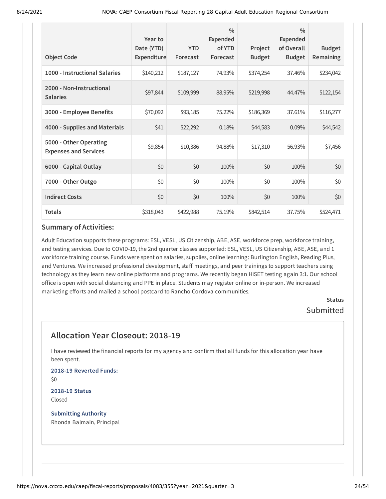| <b>Object Code</b>                                     | Year to<br>Date (YTD)<br>Expenditure | <b>YTD</b><br>Forecast | $\frac{0}{0}$<br><b>Expended</b><br>of YTD<br>Forecast | Project<br><b>Budget</b> | $\frac{0}{0}$<br>Expended<br>of Overall<br><b>Budget</b> | <b>Budget</b><br>Remaining |
|--------------------------------------------------------|--------------------------------------|------------------------|--------------------------------------------------------|--------------------------|----------------------------------------------------------|----------------------------|
| 1000 - Instructional Salaries                          | \$140,212                            | \$187,127              | 74.93%                                                 | \$374,254                | 37.46%                                                   | \$234,042                  |
| 2000 - Non-Instructional<br><b>Salaries</b>            | \$97,844                             | \$109,999              | 88.95%                                                 | \$219,998                | 44.47%                                                   | \$122,154                  |
| 3000 - Employee Benefits                               | \$70,092                             | \$93,185               | 75.22%                                                 | \$186,369                | 37.61%                                                   | \$116,277                  |
| 4000 - Supplies and Materials                          | \$41                                 | \$22,292               | 0.18%                                                  | \$44,583                 | 0.09%                                                    | \$44,542                   |
| 5000 - Other Operating<br><b>Expenses and Services</b> | \$9,854                              | \$10,386               | 94.88%                                                 | \$17,310                 | 56.93%                                                   | \$7,456                    |
| 6000 - Capital Outlay                                  | \$0                                  | \$0                    | 100%                                                   | \$0                      | 100%                                                     | \$0                        |
| 7000 - Other Outgo                                     | \$0                                  | \$0                    | 100%                                                   | \$0                      | 100%                                                     | \$0                        |
| <b>Indirect Costs</b>                                  | \$0                                  | \$0                    | 100%                                                   | \$0                      | 100%                                                     | \$0                        |
| <b>Totals</b>                                          | \$318,043                            | \$422,988              | 75.19%                                                 | \$842,514                | 37.75%                                                   | \$524,471                  |

Adult Education supports these programs: ESL, VESL, US Citizenship, ABE, ASE, workforce prep, workforce training, and testing services. Due to COVID-19, the 2nd quarter classes supported: ESL, VESL, US Citizenship, ABE, ASE, and 1 workforce training course. Funds were spent on salaries, supplies, online learning: Burlington English, Reading Plus, and Ventures. We increased professional development, staff meetings, and peer trainings to support teachers using technology as they learn new online platforms and programs. We recently began HiSET testing again 3:1. Our school office is open with social distancing and PPE in place. Students may register online or in-person. We increased marketing efforts and mailed a school postcard to Rancho Cordova communities.

> **Status** Submitted

# **Allocation Year Closeout: 2018-19**

I have reviewed the financial reports for my agency and confirm that all funds for this allocation year have been spent.

**2018-19 Reverted Funds:** \$0

**2018-19 Status** Closed

**Submitting Authority** Rhonda Balmain, Principal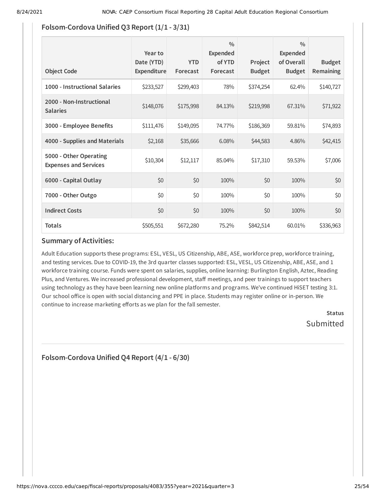## **Folsom-Cordova Unified Q3 Report (1/1 - 3/31)**

| <b>Object Code</b>                                     | Year to<br>Date (YTD)<br>Expenditure | <b>YTD</b><br>Forecast | $\frac{0}{0}$<br>Expended<br>of YTD<br>Forecast | Project<br><b>Budget</b> | $\frac{0}{0}$<br>Expended<br>of Overall<br><b>Budget</b> | <b>Budget</b><br><b>Remaining</b> |
|--------------------------------------------------------|--------------------------------------|------------------------|-------------------------------------------------|--------------------------|----------------------------------------------------------|-----------------------------------|
| 1000 - Instructional Salaries                          | \$233,527                            | \$299,403              | 78%                                             | \$374,254                | 62.4%                                                    | \$140,727                         |
| 2000 - Non-Instructional<br><b>Salaries</b>            | \$148,076                            | \$175,998              | 84.13%                                          | \$219,998                | 67.31%                                                   | \$71,922                          |
| 3000 - Employee Benefits                               | \$111,476                            | \$149,095              | 74.77%                                          | \$186,369                | 59.81%                                                   | \$74,893                          |
| 4000 - Supplies and Materials                          | \$2,168                              | \$35,666               | 6.08%                                           | \$44,583                 | 4.86%                                                    | \$42,415                          |
| 5000 - Other Operating<br><b>Expenses and Services</b> | \$10,304                             | \$12,117               | 85.04%                                          | \$17,310                 | 59.53%                                                   | \$7,006                           |
| 6000 - Capital Outlay                                  | \$0                                  | \$0                    | 100%                                            | \$0                      | 100%                                                     | \$0                               |
| 7000 - Other Outgo                                     | \$0                                  | \$0                    | 100%                                            | \$0                      | 100%                                                     | \$0                               |
| <b>Indirect Costs</b>                                  | \$0                                  | \$0                    | 100%                                            | \$0                      | 100%                                                     | \$0                               |
| <b>Totals</b>                                          | \$505,551                            | \$672,280              | 75.2%                                           | \$842,514                | 60.01%                                                   | \$336,963                         |

#### **Summary of Activities:**

Adult Education supports these programs: ESL, VESL, US Citizenship, ABE, ASE, workforce prep, workforce training, and testing services. Due to COVID-19, the 3rd quarter classes supported: ESL, VESL, US Citizenship, ABE, ASE, and 1 workforce training course. Funds were spent on salaries, supplies, online learning: Burlington English, Aztec, Reading Plus, and Ventures. We increased professional development, staff meetings, and peer trainings to support teachers using technology as they have been learning new online platforms and programs. We've continued HiSET testing 3:1. Our school office is open with social distancing and PPE in place. Students may register online or in-person. We continue to increase marketing efforts as we plan for the fall semester.

> **Status** Submitted

**Folsom-Cordova Unified Q4 Report (4/1 - 6/30)**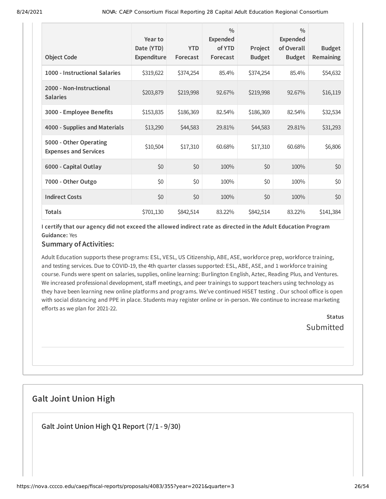| <b>Object Code</b>                                     | Year to<br>Date (YTD)<br><b>Expenditure</b> | <b>YTD</b><br>Forecast | $\frac{0}{0}$<br><b>Expended</b><br>of YTD<br>Forecast | Project<br><b>Budget</b> | $\frac{0}{0}$<br>Expended<br>of Overall<br><b>Budget</b> | <b>Budget</b><br>Remaining |
|--------------------------------------------------------|---------------------------------------------|------------------------|--------------------------------------------------------|--------------------------|----------------------------------------------------------|----------------------------|
| 1000 - Instructional Salaries                          | \$319,622                                   | \$374,254              | 85.4%                                                  | \$374,254                | 85.4%                                                    | \$54,632                   |
| 2000 - Non-Instructional<br><b>Salaries</b>            | \$203,879                                   | \$219,998              | 92.67%                                                 | \$219,998                | 92.67%                                                   | \$16,119                   |
| 3000 - Employee Benefits                               | \$153,835                                   | \$186,369              | 82.54%                                                 | \$186,369                | 82.54%                                                   | \$32,534                   |
| 4000 - Supplies and Materials                          | \$13,290                                    | \$44,583               | 29.81%                                                 | \$44,583                 | 29.81%                                                   | \$31,293                   |
| 5000 - Other Operating<br><b>Expenses and Services</b> | \$10,504                                    | \$17,310               | 60.68%                                                 | \$17,310                 | 60.68%                                                   | \$6,806                    |
| 6000 - Capital Outlay                                  | \$0                                         | \$0                    | 100%                                                   | \$0                      | 100%                                                     | \$0                        |
| 7000 - Other Outgo                                     | \$0                                         | \$0                    | 100%                                                   | \$0                      | 100%                                                     | \$0                        |
| <b>Indirect Costs</b>                                  | \$0                                         | \$0                    | 100%                                                   | \$0                      | 100%                                                     | \$0                        |
| <b>Totals</b>                                          | \$701,130                                   | \$842,514              | 83.22%                                                 | \$842,514                | 83.22%                                                   | \$141,384                  |

I certify that our agency did not exceed the allowed indirect rate as directed in the Adult Education Program **Guidance:** Yes

## **Summary of Activities:**

Adult Education supports these programs: ESL, VESL, US Citizenship, ABE, ASE, workforce prep, workforce training, and testing services. Due to COVID-19, the 4th quarter classes supported: ESL, ABE, ASE, and 1 workforce training course. Funds were spent on salaries, supplies, online learning: Burlington English, Aztec, Reading Plus, and Ventures. We increased professional development, staff meetings, and peer trainings to support teachers using technology as they have been learning new online platforms and programs. We've continued HiSET testing . Our school office is open with social distancing and PPE in place. Students may register online or in-person. We continue to increase marketing efforts as we plan for 2021-22.

> **Status** Submitted

# **Galt Joint Union High**

**Galt Joint Union High Q1 Report (7/1 - 9/30)**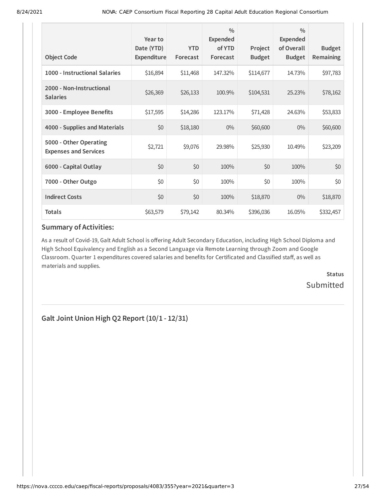| <b>Object Code</b>                                     | Year to<br>Date (YTD)<br>Expenditure | <b>YTD</b><br>Forecast | $\frac{0}{0}$<br>Expended<br>of YTD<br>Forecast | Project<br><b>Budget</b> | $\frac{0}{0}$<br>Expended<br>of Overall<br><b>Budget</b> | <b>Budget</b><br><b>Remaining</b> |
|--------------------------------------------------------|--------------------------------------|------------------------|-------------------------------------------------|--------------------------|----------------------------------------------------------|-----------------------------------|
| 1000 - Instructional Salaries                          | \$16,894                             | \$11,468               | 147.32%                                         | \$114,677                | 14.73%                                                   | \$97,783                          |
| 2000 - Non-Instructional<br><b>Salaries</b>            | \$26,369                             | \$26,133               | 100.9%                                          | \$104,531                | 25.23%                                                   | \$78,162                          |
| 3000 - Employee Benefits                               | \$17,595                             | \$14,286               | 123.17%                                         | \$71,428                 | 24.63%                                                   | \$53,833                          |
| 4000 - Supplies and Materials                          | \$0                                  | \$18,180               | $0\%$                                           | \$60,600                 | $0\%$                                                    | \$60,600                          |
| 5000 - Other Operating<br><b>Expenses and Services</b> | \$2,721                              | \$9,076                | 29.98%                                          | \$25,930                 | 10.49%                                                   | \$23,209                          |
| 6000 - Capital Outlay                                  | \$0                                  | \$0                    | 100%                                            | \$0                      | 100%                                                     | \$0                               |
| 7000 - Other Outgo                                     | \$0                                  | \$0                    | 100%                                            | \$0                      | 100%                                                     | \$0                               |
| <b>Indirect Costs</b>                                  | \$0                                  | \$0                    | 100%                                            | \$18,870                 | $0\%$                                                    | \$18,870                          |
| <b>Totals</b>                                          | \$63,579                             | \$79,142               | 80.34%                                          | \$396,036                | 16.05%                                                   | \$332,457                         |

As a result of Covid-19, Galt Adult School is offering Adult Secondary Education, including High School Diploma and High School Equivalency and English as a Second Language via Remote Learning through Zoom and Google Classroom. Quarter 1 expenditures covered salaries and benefits for Certificated and Classified staff, as well as materials and supplies.

> **Status** Submitted

**Galt Joint Union High Q2 Report (10/1 - 12/31)**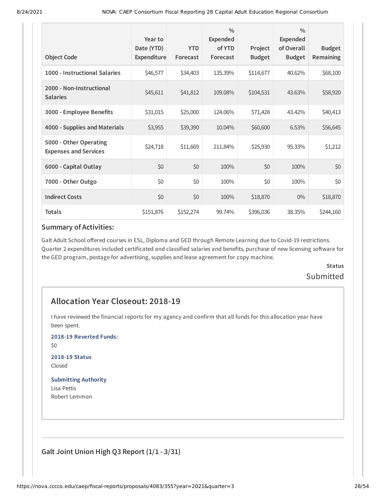| <b>Object Code</b>                                     | Year to<br>Date (YTD)<br>Expenditure | <b>YTD</b><br>Forecast | $\frac{0}{0}$<br><b>Expended</b><br>of YTD<br>Forecast | Project<br><b>Budget</b> | $\frac{0}{0}$<br><b>Expended</b><br>of Overall<br><b>Budget</b> | <b>Budget</b><br>Remaining |
|--------------------------------------------------------|--------------------------------------|------------------------|--------------------------------------------------------|--------------------------|-----------------------------------------------------------------|----------------------------|
| 1000 - Instructional Salaries                          | \$46,577                             | \$34,403               | 135.39%                                                | \$114,677                | 40.62%                                                          | \$68,100                   |
| 2000 - Non-Instructional<br><b>Salaries</b>            | \$45,611                             | \$41,812               | 109.08%                                                | \$104,531                | 43.63%                                                          | \$58,920                   |
| 3000 - Employee Benefits                               | \$31,015                             | \$25,000               | 124.06%                                                | \$71,428                 | 43.42%                                                          | \$40,413                   |
| 4000 - Supplies and Materials                          | \$3,955                              | \$39,390               | 10.04%                                                 | \$60,600                 | 6.53%                                                           | \$56,645                   |
| 5000 - Other Operating<br><b>Expenses and Services</b> | \$24,718                             | \$11,669               | 211.84%                                                | \$25,930                 | 95.33%                                                          | \$1,212                    |
| 6000 - Capital Outlay                                  | \$0                                  | \$0                    | 100%                                                   | \$0                      | 100%                                                            | \$0                        |
| 7000 - Other Outgo                                     | \$0                                  | \$0                    | 100%                                                   | \$0                      | 100%                                                            | \$0                        |
| <b>Indirect Costs</b>                                  | \$0                                  | \$0                    | 100%                                                   | \$18,870                 | $0\%$                                                           | \$18,870                   |
| <b>Totals</b>                                          | \$151,876                            | \$152,274              | 99.74%                                                 | \$396,036                | 38.35%                                                          | \$244,160                  |

Galt Adult School offered courses in ESL, Diploma and GED through Remote Learning due to Covid-19 restrictions. Quarter 2 expenditures included certificated and classified salaries and benefits, purchase of new licensing software for the GED program, postage for advertising, supplies and lease agreement for copy machine.

# **Status Submitted**

# **Allocation Year Closeout: 2018-19**

I have reviewed the financial reports for my agency and confirm that all funds for this allocation year have been spent.

**2018-19 Reverted Funds:**

\$0

**2018-19 Status** Closed

#### **Submitting Authority**

Lisa Pettis Robert Lemmon

**Galt Joint Union High Q3 Report (1/1 - 3/31)**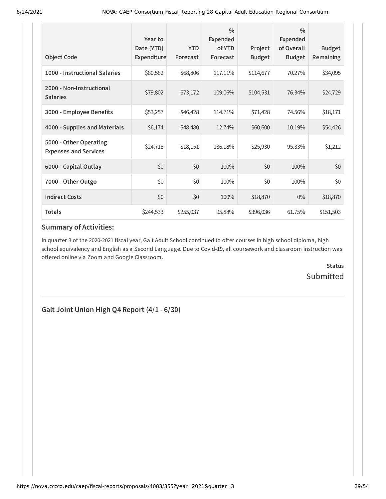| <b>Object Code</b>                                     | Year to<br>Date (YTD)<br>Expenditure | <b>YTD</b><br>Forecast | $\frac{0}{0}$<br>Expended<br>of YTD<br>Forecast | Project<br><b>Budget</b> | $\frac{0}{0}$<br><b>Expended</b><br>of Overall<br><b>Budget</b> | <b>Budget</b><br>Remaining |
|--------------------------------------------------------|--------------------------------------|------------------------|-------------------------------------------------|--------------------------|-----------------------------------------------------------------|----------------------------|
| 1000 - Instructional Salaries                          | \$80,582                             | \$68,806               | 117.11%                                         | \$114,677                | 70.27%                                                          | \$34,095                   |
| 2000 - Non-Instructional<br><b>Salaries</b>            | \$79,802                             | \$73,172               | 109.06%                                         | \$104,531                | 76.34%                                                          | \$24,729                   |
| 3000 - Employee Benefits                               | \$53,257                             | \$46,428               | 114.71%                                         | \$71,428                 | 74.56%                                                          | \$18,171                   |
| 4000 - Supplies and Materials                          | \$6,174                              | \$48,480               | 12.74%                                          | \$60,600                 | 10.19%                                                          | \$54,426                   |
| 5000 - Other Operating<br><b>Expenses and Services</b> | \$24,718                             | \$18,151               | 136.18%                                         | \$25,930                 | 95.33%                                                          | \$1,212                    |
| 6000 - Capital Outlay                                  | \$0                                  | \$0                    | 100%                                            | \$0                      | 100%                                                            | \$0                        |
| 7000 - Other Outgo                                     | \$0                                  | \$0                    | 100%                                            | \$0                      | 100%                                                            | \$0                        |
| <b>Indirect Costs</b>                                  | \$0                                  | \$0                    | 100%                                            | \$18,870                 | $0\%$                                                           | \$18,870                   |
| <b>Totals</b>                                          | \$244,533                            | \$255,037              | 95.88%                                          | \$396,036                | 61.75%                                                          | \$151,503                  |

In quarter 3 of the 2020-2021 fiscal year, Galt Adult School continued to offer courses in high school diploma, high school equivalency and English as a Second Language. Due to Covid-19, all coursework and classroom instruction was offered online via Zoom and Google Classroom.

> **Status** Submitted

**Galt Joint Union High Q4 Report (4/1 - 6/30)**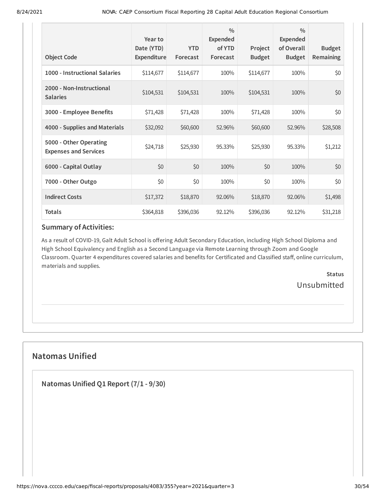| <b>Object Code</b>                                     | Year to<br>Date (YTD)<br>Expenditure | <b>YTD</b><br>Forecast | $\frac{0}{0}$<br><b>Expended</b><br>of YTD<br>Forecast | Project<br><b>Budget</b> | $\frac{0}{0}$<br><b>Expended</b><br>of Overall<br><b>Budget</b> | <b>Budget</b><br><b>Remaining</b> |
|--------------------------------------------------------|--------------------------------------|------------------------|--------------------------------------------------------|--------------------------|-----------------------------------------------------------------|-----------------------------------|
| 1000 - Instructional Salaries                          | \$114,677                            | \$114,677              | 100%                                                   | \$114,677                | 100%                                                            | \$0                               |
| 2000 - Non-Instructional<br><b>Salaries</b>            | \$104,531                            | \$104,531              | 100%                                                   | \$104,531                | 100%                                                            | \$0                               |
| 3000 - Employee Benefits                               | \$71,428                             | \$71,428               | 100%                                                   | \$71,428                 | 100%                                                            | \$0                               |
| 4000 - Supplies and Materials                          | \$32,092                             | \$60,600               | 52.96%                                                 | \$60,600                 | 52.96%                                                          | \$28,508                          |
| 5000 - Other Operating<br><b>Expenses and Services</b> | \$24,718                             | \$25,930               | 95.33%                                                 | \$25,930                 | 95.33%                                                          | \$1,212                           |
| 6000 - Capital Outlay                                  | \$0                                  | \$0                    | 100%                                                   | \$0                      | 100%                                                            | \$0                               |
| 7000 - Other Outgo                                     | \$0                                  | \$0                    | 100%                                                   | \$0                      | 100%                                                            | \$0                               |
| <b>Indirect Costs</b>                                  | \$17,372                             | \$18,870               | 92.06%                                                 | \$18,870                 | 92.06%                                                          | \$1,498                           |
| <b>Totals</b>                                          | \$364,818                            | \$396,036              | 92.12%                                                 | \$396,036                | 92.12%                                                          | \$31,218                          |

As a result of COVID-19, Galt Adult School is offering Adult Secondary Education, including High School Diploma and High School Equivalency and English as a Second Language via Remote Learning through Zoom and Google Classroom. Quarter 4 expenditures covered salaries and benefits for Certificated and Classified staff, online curriculum, materials and supplies.

> **Status** Unsubmitted

# **Natomas Unified**

**Natomas Unified Q1 Report (7/1 - 9/30)**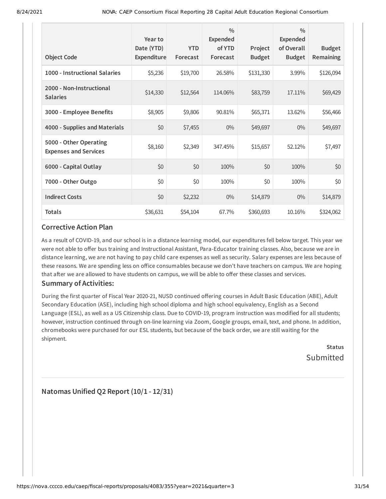| <b>Object Code</b>                                     | Year to<br>Date (YTD)<br>Expenditure | <b>YTD</b><br>Forecast | $\frac{0}{0}$<br><b>Expended</b><br>of YTD<br>Forecast | Project<br><b>Budget</b> | $\frac{0}{0}$<br><b>Expended</b><br>of Overall<br><b>Budget</b> | <b>Budget</b><br>Remaining |
|--------------------------------------------------------|--------------------------------------|------------------------|--------------------------------------------------------|--------------------------|-----------------------------------------------------------------|----------------------------|
| 1000 - Instructional Salaries                          | \$5,236                              | \$19,700               | 26.58%                                                 | \$131,330                | 3.99%                                                           | \$126,094                  |
| 2000 - Non-Instructional<br><b>Salaries</b>            | \$14,330                             | \$12,564               | 114.06%                                                | \$83,759                 | 17.11%                                                          | \$69,429                   |
| 3000 - Employee Benefits                               | \$8,905                              | \$9,806                | 90.81%                                                 | \$65,371                 | 13.62%                                                          | \$56,466                   |
| 4000 - Supplies and Materials                          | \$0                                  | \$7,455                | $0\%$                                                  | \$49,697                 | $0\%$                                                           | \$49,697                   |
| 5000 - Other Operating<br><b>Expenses and Services</b> | \$8,160                              | \$2,349                | 347.45%                                                | \$15,657                 | 52.12%                                                          | \$7,497                    |
| 6000 - Capital Outlay                                  | \$0                                  | \$0                    | 100%                                                   | \$0                      | 100%                                                            | \$0                        |
| 7000 - Other Outgo                                     | \$0                                  | \$0                    | 100%                                                   | \$0                      | 100%                                                            | \$0                        |
| <b>Indirect Costs</b>                                  | \$0                                  | \$2,232                | $0\%$                                                  | \$14,879                 | $0\%$                                                           | \$14,879                   |
| <b>Totals</b>                                          | \$36,631                             | \$54,104               | 67.7%                                                  | \$360,693                | 10.16%                                                          | \$324,062                  |

As a result of COVID-19, and our school is in a distance learning model, our expenditures fell below target. This year we were not able to offer bus training and Instructional Assistant, Para-Educator training classes. Also, because we are in distance learning, we are not having to pay child care expenses as well as security. Salary expenses are less because of these reasons. We are spending less on office consumables because we don't have teachers on campus. We are hoping that after we are allowed to have students on campus, we will be able to offer these classes and services.

## **Summary of Activities:**

During the first quarter of Fiscal Year 2020-21, NUSD continued offering courses in Adult Basic Education (ABE), Adult Secondary Education (ASE), including high school diploma and high school equivalency, English as a Second Language (ESL), as well as a US Citizenship class. Due to COVID-19, program instruction was modified for all students; however, instruction continued through on-line learning via Zoom, Google groups, email, text, and phone. In addition, chromebooks were purchased for our ESL students, but because of the back order, we are still waiting for the shipment.

**Status** Submitted

**Natomas Unified Q2 Report (10/1 - 12/31)**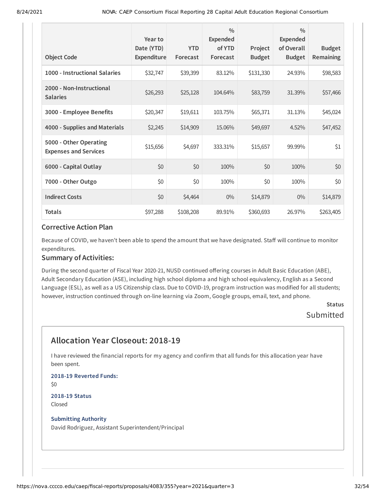|                                                        | Year to<br>Date (YTD) | <b>YTD</b> | $\frac{0}{0}$<br><b>Expended</b><br>of YTD | Project       | $\frac{0}{0}$<br><b>Expended</b><br>of Overall | <b>Budget</b> |
|--------------------------------------------------------|-----------------------|------------|--------------------------------------------|---------------|------------------------------------------------|---------------|
| <b>Object Code</b>                                     | <b>Expenditure</b>    | Forecast   | Forecast                                   | <b>Budget</b> | <b>Budget</b>                                  | Remaining     |
| 1000 - Instructional Salaries                          | \$32,747              | \$39,399   | 83.12%                                     | \$131,330     | 24.93%                                         | \$98,583      |
| 2000 - Non-Instructional<br><b>Salaries</b>            | \$26,293              | \$25,128   | 104.64%                                    | \$83,759      | 31.39%                                         | \$57,466      |
| 3000 - Employee Benefits                               | \$20,347              | \$19,611   | 103.75%                                    | \$65,371      | 31.13%                                         | \$45,024      |
| 4000 - Supplies and Materials                          | \$2,245               | \$14,909   | 15.06%                                     | \$49,697      | 4.52%                                          | \$47,452      |
| 5000 - Other Operating<br><b>Expenses and Services</b> | \$15,656              | \$4,697    | 333.31%                                    | \$15,657      | 99.99%                                         | \$1           |
| 6000 - Capital Outlay                                  | \$0                   | \$0        | 100%                                       | \$0           | 100%                                           | \$0           |
| 7000 - Other Outgo                                     | \$0                   | \$0        | 100%                                       | \$0           | 100%                                           | \$0           |
| <b>Indirect Costs</b>                                  | \$0                   | \$4,464    | $0\%$                                      | \$14,879      | $0\%$                                          | \$14,879      |
| <b>Totals</b>                                          | \$97,288              | \$108,208  | 89.91%                                     | \$360,693     | 26.97%                                         | \$263,405     |

Because of COVID, we haven't been able to spend the amount that we have designated. Staff will continue to monitor expenditures.

#### **Summary of Activities:**

During the second quarter of Fiscal Year 2020-21, NUSD continued offering courses in Adult Basic Education (ABE), Adult Secondary Education (ASE), including high school diploma and high school equivalency, English as a Second Language (ESL), as well as a US Citizenship class. Due to COVID-19, program instruction was modified for all students; however, instruction continued through on-line learning via Zoom, Google groups, email, text, and phone.

## **Status** Submitted

# **Allocation Year Closeout: 2018-19**

I have reviewed the financial reports for my agency and confirm that all funds for this allocation year have been spent.

**2018-19 Reverted Funds:** \$0 **2018-19 Status**

Closed

#### **Submitting Authority**

David Rodriguez, Assistant Superintendent/Principal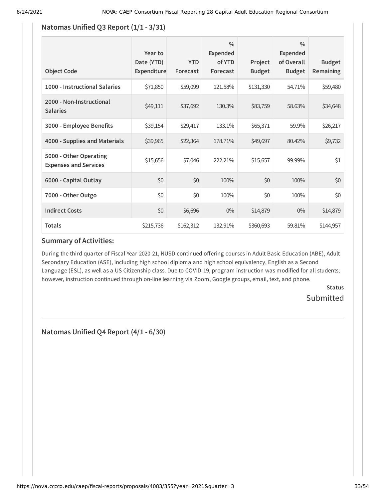## **Natomas Unified Q3 Report (1/1 - 3/31)**

| <b>Object Code</b>                                     | Year to<br>Date (YTD)<br>Expenditure | <b>YTD</b><br>Forecast | $\frac{0}{0}$<br>Expended<br>of YTD<br>Forecast | Project<br><b>Budget</b> | $\frac{0}{0}$<br>Expended<br>of Overall<br><b>Budget</b> | <b>Budget</b><br><b>Remaining</b> |
|--------------------------------------------------------|--------------------------------------|------------------------|-------------------------------------------------|--------------------------|----------------------------------------------------------|-----------------------------------|
| 1000 - Instructional Salaries                          | \$71,850                             | \$59,099               | 121.58%                                         | \$131,330                | 54.71%                                                   | \$59,480                          |
| 2000 - Non-Instructional<br><b>Salaries</b>            | \$49,111                             | \$37,692               | 130.3%                                          | \$83,759                 | 58.63%                                                   | \$34,648                          |
| 3000 - Employee Benefits                               | \$39,154                             | \$29,417               | 133.1%                                          | \$65,371                 | 59.9%                                                    | \$26,217                          |
| 4000 - Supplies and Materials                          | \$39,965                             | \$22,364               | 178.71%                                         | \$49,697                 | 80.42%                                                   | \$9,732                           |
| 5000 - Other Operating<br><b>Expenses and Services</b> | \$15,656                             | \$7,046                | 222.21%                                         | \$15,657                 | 99.99%                                                   | \$1                               |
| 6000 - Capital Outlay                                  | \$0                                  | \$0                    | 100%                                            | \$0                      | 100%                                                     | \$0                               |
| 7000 - Other Outgo                                     | \$0                                  | \$0                    | 100%                                            | \$0                      | 100%                                                     | \$0                               |
| <b>Indirect Costs</b>                                  | \$0                                  | \$6,696                | $0\%$                                           | \$14,879                 | $0\%$                                                    | \$14,879                          |
| <b>Totals</b>                                          | \$215,736                            | \$162,312              | 132.91%                                         | \$360,693                | 59.81%                                                   | \$144,957                         |

## **Summary of Activities:**

During the third quarter of Fiscal Year 2020-21, NUSD continued offering courses in Adult Basic Education (ABE), Adult Secondary Education (ASE), including high school diploma and high school equivalency, English as a Second Language (ESL), as well as a US Citizenship class. Due to COVID-19, program instruction was modified for all students; however, instruction continued through on-line learning via Zoom, Google groups, email, text, and phone.

> **Status** Submitted

**Natomas Unified Q4 Report (4/1 - 6/30)**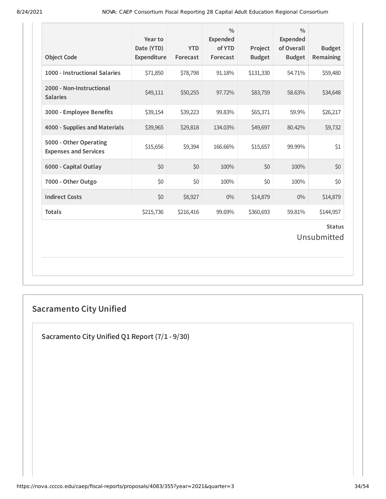| <b>Object Code</b>                                     | Year to<br>Date (YTD)<br>Expenditure | <b>YTD</b><br>Forecast | $\frac{0}{0}$<br>Expended<br>of YTD<br>Forecast | Project<br><b>Budget</b> | $\frac{0}{0}$<br><b>Expended</b><br>of Overall<br><b>Budget</b> | <b>Budget</b><br>Remaining |  |
|--------------------------------------------------------|--------------------------------------|------------------------|-------------------------------------------------|--------------------------|-----------------------------------------------------------------|----------------------------|--|
| 1000 - Instructional Salaries                          | \$71,850                             | \$78,798               | 91.18%                                          | \$131,330                | 54.71%                                                          | \$59,480                   |  |
| 2000 - Non-Instructional<br><b>Salaries</b>            | \$49,111                             | \$50,255               | 97.72%                                          | \$83,759                 | 58.63%                                                          | \$34,648                   |  |
| 3000 - Employee Benefits                               | \$39,154                             | \$39,223               | 99.83%                                          | \$65,371                 | 59.9%                                                           | \$26,217                   |  |
| 4000 - Supplies and Materials                          | \$39,965                             | \$29,818               | 134.03%                                         | \$49,697                 | 80.42%                                                          | \$9,732                    |  |
| 5000 - Other Operating<br><b>Expenses and Services</b> | \$15,656                             | \$9,394                | 166.66%                                         | \$15,657                 | 99.99%                                                          | \$1                        |  |
| 6000 - Capital Outlay                                  | \$0                                  | \$0                    | 100%                                            | \$0                      | 100%                                                            | \$0                        |  |
| 7000 - Other Outgo                                     | \$0                                  | \$0                    | 100%                                            | \$0                      | 100%                                                            | \$0                        |  |
| <b>Indirect Costs</b>                                  | \$0                                  | \$8,927                | $0\%$                                           | \$14,879                 | $0\%$                                                           | \$14,879                   |  |
| <b>Totals</b>                                          | \$215,736                            | \$216,416              | 99.69%                                          | \$360,693                | 59.81%                                                          | \$144,957                  |  |
| <b>Status</b><br>Unsubmitted                           |                                      |                        |                                                 |                          |                                                                 |                            |  |

# **Sacramento City Unified**

**Sacramento City Unified Q1 Report (7/1 - 9/30)**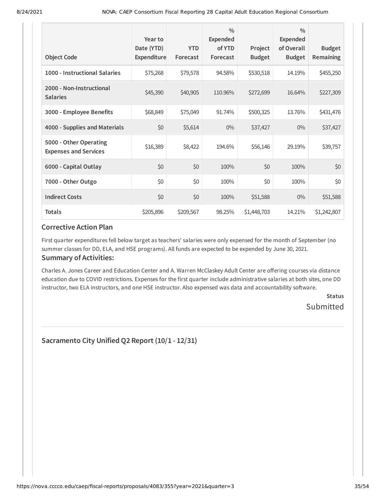| <b>Object Code</b>                                     | Year to<br>Date (YTD)<br><b>Expenditure</b> | <b>YTD</b><br>Forecast | $\frac{0}{0}$<br><b>Expended</b><br>of YTD<br>Forecast | Project<br><b>Budget</b> | $\frac{0}{0}$<br><b>Expended</b><br>of Overall<br><b>Budget</b> | <b>Budget</b><br>Remaining |
|--------------------------------------------------------|---------------------------------------------|------------------------|--------------------------------------------------------|--------------------------|-----------------------------------------------------------------|----------------------------|
| 1000 - Instructional Salaries                          | \$75,268                                    | \$79,578               | 94.58%                                                 | \$530,518                | 14.19%                                                          | \$455,250                  |
| 2000 - Non-Instructional<br><b>Salaries</b>            | \$45,390                                    | \$40,905               | 110.96%                                                | \$272,699                | 16.64%                                                          | \$227,309                  |
| 3000 - Employee Benefits                               | \$68,849                                    | \$75,049               | 91.74%                                                 | \$500,325                | 13.76%                                                          | \$431,476                  |
| 4000 - Supplies and Materials                          | \$0                                         | \$5,614                | $0\%$                                                  | \$37,427                 | $0\%$                                                           | \$37,427                   |
| 5000 - Other Operating<br><b>Expenses and Services</b> | \$16,389                                    | \$8,422                | 194.6%                                                 | \$56,146                 | 29.19%                                                          | \$39,757                   |
| 6000 - Capital Outlay                                  | \$0                                         | \$0                    | 100%                                                   | \$0                      | 100%                                                            | \$0                        |
| 7000 - Other Outgo                                     | \$0                                         | \$0                    | 100%                                                   | \$0                      | 100%                                                            | \$0                        |
| <b>Indirect Costs</b>                                  | \$0                                         | \$0                    | 100%                                                   | \$51,588                 | $0\%$                                                           | \$51,588                   |
| <b>Totals</b>                                          | \$205,896                                   | \$209,567              | 98.25%                                                 | \$1,448,703              | 14.21%                                                          | \$1,242,807                |

First quarter expenditures fell below target as teachers' salaries were only expensed for the month of September (no summer classes for DD, ELA, and HSE programs). All funds are expected to be expended by June 30, 2021.

## **Summary of Activities:**

Charles A. Jones Career and Education Center and A. Warren McClaskey Adult Center are offering courses via distance education due to COVID restrictions. Expenses for the first quarter include administrative salaries at both sites, one DD instructor, two ELA instructors, and one HSE instructor. Also expensed was data and accountability software.

> **Status** Submitted

**Sacramento City Unified Q2 Report (10/1 - 12/31)**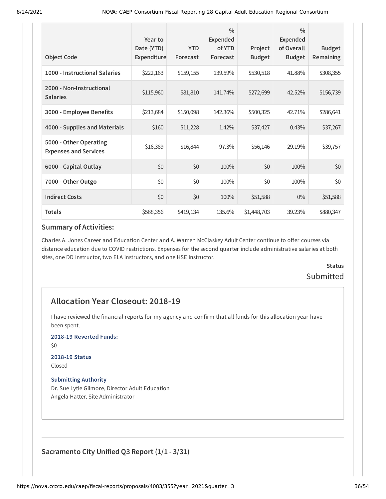|                                                        | Year to<br>Date (YTD) | <b>YTD</b> | $\frac{0}{0}$<br><b>Expended</b><br>of YTD | Project       | $\frac{0}{0}$<br><b>Expended</b><br>of Overall | <b>Budget</b> |
|--------------------------------------------------------|-----------------------|------------|--------------------------------------------|---------------|------------------------------------------------|---------------|
| <b>Object Code</b>                                     | <b>Expenditure</b>    | Forecast   | Forecast                                   | <b>Budget</b> | <b>Budget</b>                                  | Remaining     |
| 1000 - Instructional Salaries                          | \$222,163             | \$159,155  | 139.59%                                    | \$530,518     | 41.88%                                         | \$308,355     |
| 2000 - Non-Instructional<br><b>Salaries</b>            | \$115,960             | \$81,810   | 141.74%                                    | \$272,699     | 42.52%                                         | \$156,739     |
| 3000 - Employee Benefits                               | \$213,684             | \$150,098  | 142.36%                                    | \$500,325     | 42.71%                                         | \$286,641     |
| 4000 - Supplies and Materials                          | \$160                 | \$11,228   | 1.42%                                      | \$37,427      | 0.43%                                          | \$37,267      |
| 5000 - Other Operating<br><b>Expenses and Services</b> | \$16,389              | \$16,844   | 97.3%                                      | \$56,146      | 29.19%                                         | \$39,757      |
| 6000 - Capital Outlay                                  | \$0                   | \$0        | 100%                                       | \$0           | 100%                                           | \$0           |
| 7000 - Other Outgo                                     | \$0                   | \$0        | 100%                                       | \$0           | 100%                                           | \$0           |
| <b>Indirect Costs</b>                                  | \$0                   | \$0        | 100%                                       | \$51,588      | $0\%$                                          | \$51,588      |
| <b>Totals</b>                                          | \$568,356             | \$419,134  | 135.6%                                     | \$1,448,703   | 39.23%                                         | \$880,347     |

Charles A. Jones Career and Education Center and A. Warren McClaskey Adult Center continue to offer courses via distance education due to COVID restrictions. Expenses for the second quarter include administrative salaries at both sites, one DD instructor, two ELA instructors, and one HSE instructor.

# **Status Submitted**

# **Allocation Year Closeout: 2018-19**

I have reviewed the financial reports for my agency and confirm that all funds for this allocation year have been spent.

**2018-19 Reverted Funds:**

\$0

# **2018-19 Status**

Closed

### **Submitting Authority**

Dr. Sue Lytle Gilmore, Director Adult Education Angela Hatter, Site Administrator

**Sacramento City Unified Q3 Report (1/1 - 3/31)**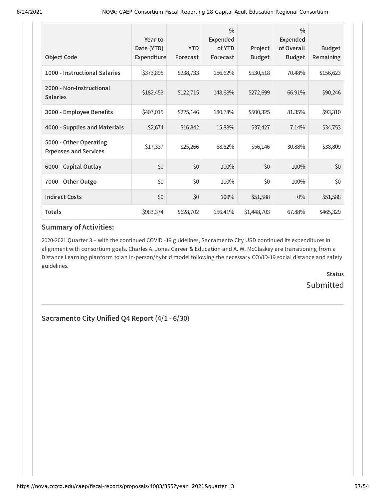| <b>Object Code</b>                                     | Year to<br>Date (YTD)<br>Expenditure | <b>YTD</b><br>Forecast | $\frac{0}{0}$<br>Expended<br>of YTD<br>Forecast | Project<br><b>Budget</b> | $\frac{0}{0}$<br><b>Expended</b><br>of Overall<br><b>Budget</b> | <b>Budget</b><br>Remaining |
|--------------------------------------------------------|--------------------------------------|------------------------|-------------------------------------------------|--------------------------|-----------------------------------------------------------------|----------------------------|
|                                                        |                                      |                        |                                                 |                          |                                                                 |                            |
| 1000 - Instructional Salaries                          | \$373,895                            | \$238,733              | 156.62%                                         | \$530,518                | 70.48%                                                          | \$156,623                  |
| 2000 - Non-Instructional<br><b>Salaries</b>            | \$182,453                            | \$122,715              | 148.68%                                         | \$272,699                | 66.91%                                                          | \$90,246                   |
| 3000 - Employee Benefits                               | \$407,015                            | \$225,146              | 180.78%                                         | \$500,325                | 81.35%                                                          | \$93,310                   |
| 4000 - Supplies and Materials                          | \$2,674                              | \$16,842               | 15.88%                                          | \$37,427                 | 7.14%                                                           | \$34,753                   |
| 5000 - Other Operating<br><b>Expenses and Services</b> | \$17,337                             | \$25,266               | 68.62%                                          | \$56,146                 | 30.88%                                                          | \$38,809                   |
| 6000 - Capital Outlay                                  | \$0                                  | \$0                    | 100%                                            | \$0                      | 100%                                                            | \$0                        |
| 7000 - Other Outgo                                     | \$0                                  | \$0                    | 100%                                            | \$0                      | 100%                                                            | \$0                        |
| <b>Indirect Costs</b>                                  | \$0                                  | \$0                    | 100%                                            | \$51,588                 | $0\%$                                                           | \$51,588                   |
| <b>Totals</b>                                          | \$983,374                            | \$628,702              | 156.41%                                         | \$1,448,703              | 67.88%                                                          | \$465,329                  |

2020-2021 Quarter 3 – with the continued COVID -19 guidelines, Sacramento City USD continued its expenditures in alignment with consortium goals. Charles A. Jones Career & Education and A. W. McClaskey are transitioning from a Distance Learning planform to an in-person/hybrid model following the necessary COVID-19 social distance and safety guidelines.

> **Status Submitted**

**Sacramento City Unified Q4 Report (4/1 - 6/30)**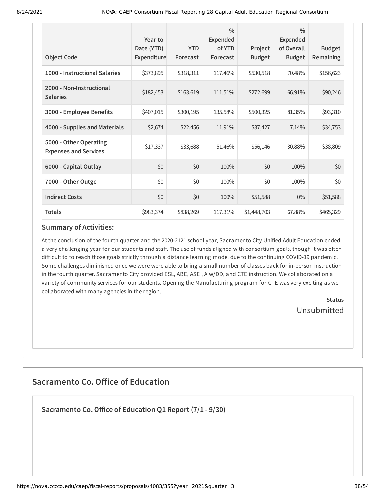| <b>Object Code</b>                                     | Year to<br>Date (YTD)<br>Expenditure | <b>YTD</b><br>Forecast | $\frac{0}{0}$<br>Expended<br>of YTD<br>Forecast | Project<br><b>Budget</b> | $\frac{0}{0}$<br>Expended<br>of Overall<br><b>Budget</b> | <b>Budget</b><br>Remaining |
|--------------------------------------------------------|--------------------------------------|------------------------|-------------------------------------------------|--------------------------|----------------------------------------------------------|----------------------------|
| 1000 - Instructional Salaries                          | \$373,895                            | \$318,311              | 117.46%                                         | \$530,518                | 70.48%                                                   | \$156,623                  |
| 2000 - Non-Instructional<br><b>Salaries</b>            | \$182,453                            | \$163,619              | 111.51%                                         | \$272,699                | 66.91%                                                   | \$90,246                   |
| 3000 - Employee Benefits                               | \$407,015                            | \$300,195              | 135.58%                                         | \$500,325                | 81.35%                                                   | \$93,310                   |
| 4000 - Supplies and Materials                          | \$2,674                              | \$22,456               | 11.91%                                          | \$37,427                 | 7.14%                                                    | \$34,753                   |
| 5000 - Other Operating<br><b>Expenses and Services</b> | \$17,337                             | \$33,688               | 51.46%                                          | \$56,146                 | 30.88%                                                   | \$38,809                   |
| 6000 - Capital Outlay                                  | \$0                                  | \$0                    | 100%                                            | \$0                      | 100%                                                     | \$0                        |
| 7000 - Other Outgo                                     | \$0                                  | \$0                    | 100%                                            | \$0                      | 100%                                                     | \$0                        |
| <b>Indirect Costs</b>                                  | \$0                                  | \$0                    | 100%                                            | \$51,588                 | $0\%$                                                    | \$51,588                   |
| <b>Totals</b>                                          | \$983,374                            | \$838,269              | 117.31%                                         | \$1,448,703              | 67.88%                                                   | \$465,329                  |

At the conclusion of the fourth quarter and the 2020-2121 school year, Sacramento City Unified Adult Education ended a very challenging year for our students and staff. The use of funds aligned with consortium goals, though it was often difficult to to reach those goals strictly through a distance learning model due to the continuing COVID-19 pandemic. Some challenges diminished once we were were able to bring a small number of classes back for in-person instruction in the fourth quarter. Sacramento City provided ESL, ABE, ASE , A w/DD, and CTE instruction. We collaborated on a variety of community services for our students. Opening the Manufacturing program for CTE was very exciting as we collaborated with many agencies in the region.

> **Status** Unsubmitted

# **Sacramento Co. Office of Education**

**Sacramento Co.Office of Education Q1 Report (7/1 - 9/30)**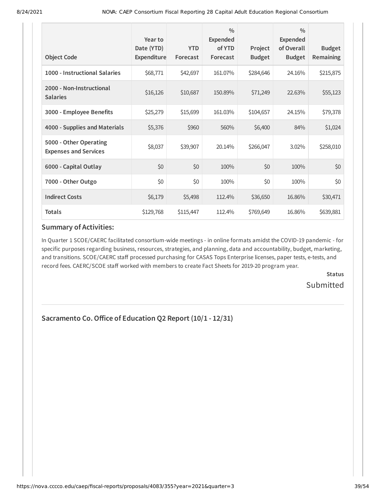| <b>Object Code</b>                                     | Year to<br>Date (YTD)<br><b>Expenditure</b> | <b>YTD</b><br>Forecast | $\frac{0}{0}$<br><b>Expended</b><br>of YTD<br>Forecast | Project<br><b>Budget</b> | $\frac{0}{0}$<br><b>Expended</b><br>of Overall<br><b>Budget</b> | <b>Budget</b><br>Remaining |
|--------------------------------------------------------|---------------------------------------------|------------------------|--------------------------------------------------------|--------------------------|-----------------------------------------------------------------|----------------------------|
| 1000 - Instructional Salaries                          | \$68,771                                    | \$42,697               | 161.07%                                                | \$284,646                | 24.16%                                                          | \$215,875                  |
| 2000 - Non-Instructional<br><b>Salaries</b>            | \$16,126                                    | \$10,687               | 150.89%                                                | \$71,249                 | 22.63%                                                          | \$55,123                   |
| 3000 - Employee Benefits                               | \$25,279                                    | \$15,699               | 161.03%                                                | \$104,657                | 24.15%                                                          | \$79,378                   |
| 4000 - Supplies and Materials                          | \$5,376                                     | \$960                  | 560%                                                   | \$6,400                  | 84%                                                             | \$1,024                    |
| 5000 - Other Operating<br><b>Expenses and Services</b> | \$8,037                                     | \$39,907               | 20.14%                                                 | \$266,047                | 3.02%                                                           | \$258,010                  |
| 6000 - Capital Outlay                                  | \$0                                         | \$0                    | 100%                                                   | \$0                      | 100%                                                            | \$0                        |
| 7000 - Other Outgo                                     | \$0                                         | \$0                    | 100%                                                   | \$0                      | 100%                                                            | \$0                        |
| <b>Indirect Costs</b>                                  | \$6,179                                     | \$5,498                | 112.4%                                                 | \$36,650                 | 16.86%                                                          | \$30,471                   |
| <b>Totals</b>                                          | \$129,768                                   | \$115,447              | 112.4%                                                 | \$769,649                | 16.86%                                                          | \$639,881                  |

In Quarter 1 SCOE/CAERC facilitated consortium-wide meetings - in online formats amidst the COVID-19 pandemic - for specific purposes regarding business, resources, strategies, and planning, data and accountability, budget, marketing, and transitions. SCOE/CAERC staff processed purchasing for CASAS Tops Enterprise licenses, paper tests, e-tests, and record fees. CAERC/SCOE staff worked with members to create Fact Sheets for 2019-20 program year.

> **Status Submitted**

# **Sacramento Co.Office of Education Q2 Report (10/1 - 12/31)**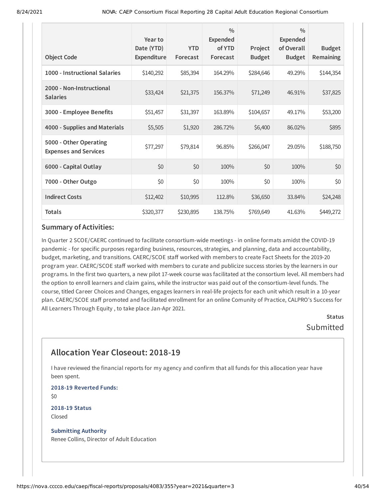| <b>Object Code</b>                                     | Year to<br>Date (YTD)<br>Expenditure | <b>YTD</b><br>Forecast | $\frac{0}{0}$<br><b>Expended</b><br>of YTD<br>Forecast | Project<br><b>Budget</b> | $\frac{0}{0}$<br><b>Expended</b><br>of Overall<br><b>Budget</b> | <b>Budget</b><br>Remaining |
|--------------------------------------------------------|--------------------------------------|------------------------|--------------------------------------------------------|--------------------------|-----------------------------------------------------------------|----------------------------|
| 1000 - Instructional Salaries                          | \$140,292                            | \$85,394               | 164.29%                                                | \$284,646                | 49.29%                                                          | \$144,354                  |
| 2000 - Non-Instructional<br><b>Salaries</b>            | \$33,424                             | \$21,375               | 156.37%                                                | \$71,249                 | 46.91%                                                          | \$37,825                   |
| 3000 - Employee Benefits                               | \$51,457                             | \$31,397               | 163.89%                                                | \$104,657                | 49.17%                                                          | \$53,200                   |
| 4000 - Supplies and Materials                          | \$5,505                              | \$1,920                | 286.72%                                                | \$6,400                  | 86.02%                                                          | \$895                      |
| 5000 - Other Operating<br><b>Expenses and Services</b> | \$77,297                             | \$79,814               | 96.85%                                                 | \$266,047                | 29.05%                                                          | \$188,750                  |
| 6000 - Capital Outlay                                  | \$0                                  | \$0                    | 100%                                                   | \$0                      | 100%                                                            | \$0                        |
| 7000 - Other Outgo                                     | \$0                                  | \$0                    | 100%                                                   | \$0                      | 100%                                                            | \$0                        |
| <b>Indirect Costs</b>                                  | \$12,402                             | \$10,995               | 112.8%                                                 | \$36,650                 | 33.84%                                                          | \$24,248                   |
| <b>Totals</b>                                          | \$320,377                            | \$230,895              | 138.75%                                                | \$769,649                | 41.63%                                                          | \$449,272                  |

In Quarter 2 SCOE/CAERC continued to facilitate consortium-wide meetings - in online formats amidst the COVID-19 pandemic - for specific purposes regarding business, resources, strategies, and planning, data and accountability, budget, marketing, and transitions. CAERC/SCOE staff worked with members to create Fact Sheets for the 2019-20 program year. CAERC/SCOE staff worked with members to curate and publicize success stories by the learners in our programs. In the first two quarters, a new pilot 17-week course was facilitated at the consortium level. All members had the option to enroll learners and claim gains, while the instructor was paid out of the consortium-level funds. The course, titled Career Choices and Changes, engages learners in real-life projects for each unit which result in a 10-year plan. CAERC/SCOE staff promoted and facilitated enrollment for an online Comunity of Practice, CALPRO's Success for All Learners Through Equity , to take place Jan-Apr 2021.

> **Status** Submitted

# **Allocation Year Closeout: 2018-19**

I have reviewed the financial reports for my agency and confirm that all funds for this allocation year have been spent.

**2018-19 Reverted Funds:** \$0

**2018-19 Status** Closed

**Submitting Authority** Renee Collins, Director of Adult Education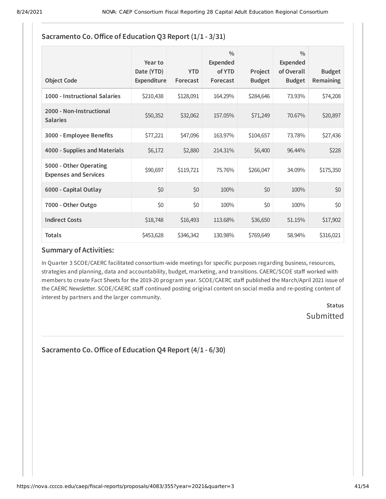| <b>Object Code</b>                                     | Year to<br>Date (YTD)<br>Expenditure | <b>YTD</b><br>Forecast | $\frac{0}{0}$<br><b>Expended</b><br>of YTD<br>Forecast | Project<br><b>Budget</b> | $\frac{0}{0}$<br>Expended<br>of Overall<br><b>Budget</b> | <b>Budget</b><br><b>Remaining</b> |
|--------------------------------------------------------|--------------------------------------|------------------------|--------------------------------------------------------|--------------------------|----------------------------------------------------------|-----------------------------------|
| 1000 - Instructional Salaries                          | \$210,438                            | \$128,091              | 164.29%                                                | \$284,646                | 73.93%                                                   | \$74,208                          |
| 2000 - Non-Instructional<br><b>Salaries</b>            | \$50,352                             | \$32,062               | 157.05%                                                | \$71,249                 | 70.67%                                                   | \$20,897                          |
| 3000 - Employee Benefits                               | \$77,221                             | \$47,096               | 163.97%                                                | \$104,657                | 73.78%                                                   | \$27,436                          |
| 4000 - Supplies and Materials                          | \$6,172                              | \$2,880                | 214.31%                                                | \$6,400                  | 96.44%                                                   | \$228                             |
| 5000 - Other Operating<br><b>Expenses and Services</b> | \$90,697                             | \$119,721              | 75.76%                                                 | \$266,047                | 34.09%                                                   | \$175,350                         |
| 6000 - Capital Outlay                                  | \$0                                  | \$0                    | 100%                                                   | \$0                      | 100%                                                     | \$0                               |
| 7000 - Other Outgo                                     | \$0                                  | \$0                    | 100%                                                   | \$0                      | 100%                                                     | \$0                               |
| <b>Indirect Costs</b>                                  | \$18,748                             | \$16,493               | 113.68%                                                | \$36,650                 | 51.15%                                                   | \$17,902                          |
| <b>Totals</b>                                          | \$453,628                            | \$346,342              | 130.98%                                                | \$769,649                | 58.94%                                                   | \$316,021                         |

# **Sacramento Co.Office of Education Q3 Report (1/1 - 3/31)**

## **Summary of Activities:**

In Quarter 3 SCOE/CAERC facilitated consortium-wide meetings for specific purposes regarding business, resources, strategies and planning, data and accountability, budget, marketing, and transitions. CAERC/SCOE staff worked with members to create Fact Sheets for the 2019-20 program year. SCOE/CAERC staff published the March/April 2021 issue of the CAERC Newsletter. SCOE/CAERC staff continued posting original content on social media and re-posting content of interest by partners and the larger community.

> **Status** Submitted

**Sacramento Co.Office of Education Q4 Report (4/1 - 6/30)**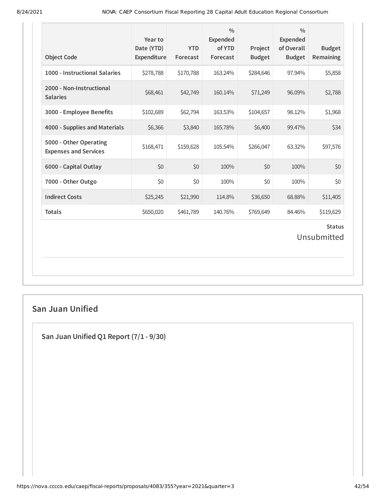| <b>Object Code</b>                                     | Year to<br>Date (YTD)<br>Expenditure | <b>YTD</b><br>Forecast | $\frac{0}{0}$<br>Expended<br>of YTD<br>Forecast | Project<br><b>Budget</b> | $\frac{0}{0}$<br><b>Expended</b><br>of Overall<br><b>Budget</b> | <b>Budget</b><br>Remaining   |
|--------------------------------------------------------|--------------------------------------|------------------------|-------------------------------------------------|--------------------------|-----------------------------------------------------------------|------------------------------|
| 1000 - Instructional Salaries                          | \$278,788                            | \$170,788              | 163.24%                                         | \$284,646                | 97.94%                                                          | \$5,858                      |
| 2000 - Non-Instructional<br><b>Salaries</b>            | \$68,461                             | \$42,749               | 160.14%                                         | \$71,249                 | 96.09%                                                          | \$2,788                      |
| 3000 - Employee Benefits                               | \$102,689                            | \$62,794               | 163.53%                                         | \$104,657                | 98.12%                                                          | \$1,968                      |
| 4000 - Supplies and Materials                          | \$6,366                              | \$3,840                | 165.78%                                         | \$6,400                  | 99.47%                                                          | \$34                         |
| 5000 - Other Operating<br><b>Expenses and Services</b> | \$168,471                            | \$159,628              | 105.54%                                         | \$266,047                | 63.32%                                                          | \$97,576                     |
| 6000 - Capital Outlay                                  | \$0                                  | \$0                    | 100%                                            | \$0                      | 100%                                                            | \$0                          |
| 7000 - Other Outgo                                     | \$0                                  | \$0                    | 100%                                            | \$0                      | 100%                                                            | \$0                          |
| <b>Indirect Costs</b>                                  | \$25,245                             | \$21,990               | 114.8%                                          | \$36,650                 | 68.88%                                                          | \$11,405                     |
| <b>Totals</b>                                          | \$650,020                            | \$461,789              | 140.76%                                         | \$769,649                | 84.46%                                                          | \$119,629                    |
|                                                        |                                      |                        |                                                 |                          |                                                                 | <b>Status</b><br>Unsubmitted |

# **San Juan Unified**

**San Juan Unified Q1 Report (7/1 - 9/30)**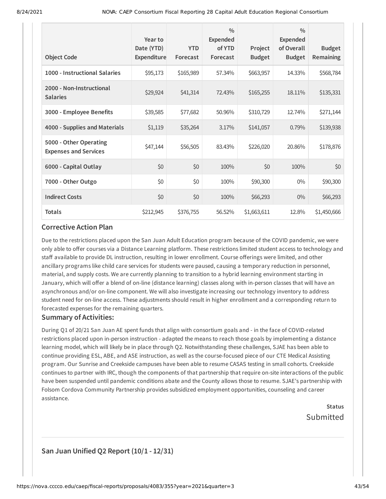| <b>Object Code</b>                                     | Year to<br>Date (YTD)<br><b>Expenditure</b> | <b>YTD</b><br>Forecast | $\frac{0}{0}$<br>Expended<br>of YTD<br>Forecast | Project<br><b>Budget</b> | $\frac{0}{0}$<br><b>Expended</b><br>of Overall<br><b>Budget</b> | <b>Budget</b><br>Remaining |
|--------------------------------------------------------|---------------------------------------------|------------------------|-------------------------------------------------|--------------------------|-----------------------------------------------------------------|----------------------------|
| 1000 - Instructional Salaries                          | \$95,173                                    | \$165,989              | 57.34%                                          | \$663,957                | 14.33%                                                          | \$568,784                  |
| 2000 - Non-Instructional<br><b>Salaries</b>            | \$29,924                                    | \$41,314               | 72.43%                                          | \$165,255                | 18.11%                                                          | \$135,331                  |
| 3000 - Employee Benefits                               | \$39,585                                    | \$77,682               | 50.96%                                          | \$310,729                | 12.74%                                                          | \$271,144                  |
| 4000 - Supplies and Materials                          | \$1,119                                     | \$35,264               | 3.17%                                           | \$141,057                | 0.79%                                                           | \$139,938                  |
| 5000 - Other Operating<br><b>Expenses and Services</b> | \$47,144                                    | \$56,505               | 83.43%                                          | \$226,020                | 20.86%                                                          | \$178,876                  |
| 6000 - Capital Outlay                                  | \$0                                         | \$0                    | 100%                                            | \$0                      | 100%                                                            | \$0                        |
| 7000 - Other Outgo                                     | \$0                                         | \$0                    | 100%                                            | \$90,300                 | $0\%$                                                           | \$90,300                   |
| <b>Indirect Costs</b>                                  | \$0                                         | \$0                    | 100%                                            | \$66,293                 | $0\%$                                                           | \$66,293                   |
| <b>Totals</b>                                          | \$212,945                                   | \$376,755              | 56.52%                                          | \$1,663,611              | 12.8%                                                           | \$1,450,666                |

Due to the restrictions placed upon the San Juan Adult Education program because of the COVID pandemic, we were only able to offer courses via a Distance Learning platform. These restrictions limited student access to technology and staff available to provide DL instruction, resulting in lower enrollment. Course offerings were limited, and other ancillary programs like child care services for students were paused, causing a temporary reduction in personnel, material, and supply costs. We are currently planning to transition to a hybrid learning environment starting in January, which will offer a blend of on-line (distance learning) classes along with in-person classes that will have an asynchronous and/or on-line component. We will also investigate increasing our technology inventory to address student need for on-line access. These adjustments should result in higher enrollment and a corresponding return to forecasted expenses for the remaining quarters.

#### **Summary of Activities:**

During Q1 of 20/21 San Juan AE spent funds that align with consortium goals and - in the face of COVID-related restrictions placed upon in-person instruction - adapted the means to reach those goals by implementing a distance learning model, which will likely be in place through Q2. Notwithstanding these challenges, SJAE has been able to continue providing ESL, ABE, and ASE instruction, as well as the course-focused piece of our CTE Medical Assisting program. Our Sunrise and Creekside campuses have been able to resume CASAS testing in small cohorts. Creekside continues to partner with IRC, though the components of that partnership that require on-site interactions of the public have been suspended until pandemic conditions abate and the County allows those to resume. SJAE's partnership with Folsom Cordova Community Partnership provides subsidized employment opportunities, counseling and career assistance.

> **Status** Submitted

## **San Juan Unified Q2 Report (10/1 - 12/31)**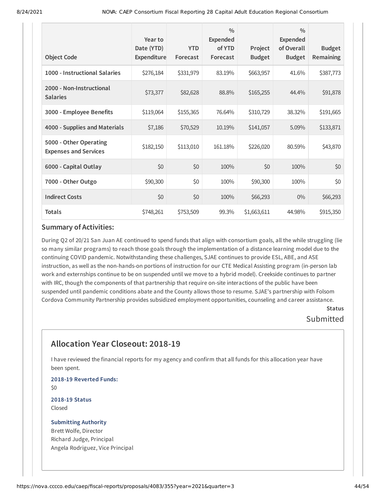| <b>Object Code</b>                                     | Year to<br>Date (YTD)<br>Expenditure | <b>YTD</b><br>Forecast | $\frac{0}{0}$<br><b>Expended</b><br>of YTD<br>Forecast | Project<br><b>Budget</b> | $\frac{0}{0}$<br>Expended<br>of Overall<br><b>Budget</b> | <b>Budget</b><br>Remaining |
|--------------------------------------------------------|--------------------------------------|------------------------|--------------------------------------------------------|--------------------------|----------------------------------------------------------|----------------------------|
| 1000 - Instructional Salaries                          | \$276,184                            | \$331,979              | 83.19%                                                 | \$663,957                | 41.6%                                                    | \$387,773                  |
| 2000 - Non-Instructional<br><b>Salaries</b>            | \$73,377                             | \$82,628               | 88.8%                                                  | \$165,255                | 44.4%                                                    | \$91,878                   |
| 3000 - Employee Benefits                               | \$119,064                            | \$155,365              | 76.64%                                                 | \$310,729                | 38.32%                                                   | \$191,665                  |
| 4000 - Supplies and Materials                          | \$7,186                              | \$70,529               | 10.19%                                                 | \$141,057                | 5.09%                                                    | \$133,871                  |
| 5000 - Other Operating<br><b>Expenses and Services</b> | \$182,150                            | \$113,010              | 161.18%                                                | \$226,020                | 80.59%                                                   | \$43,870                   |
| 6000 - Capital Outlay                                  | \$0                                  | \$0                    | 100%                                                   | \$0                      | 100%                                                     | \$0                        |
| 7000 - Other Outgo                                     | \$90,300                             | \$0                    | 100%                                                   | \$90,300                 | 100%                                                     | \$0                        |
| <b>Indirect Costs</b>                                  | \$0                                  | \$0                    | 100%                                                   | \$66,293                 | $0\%$                                                    | \$66,293                   |
| <b>Totals</b>                                          | \$748,261                            | \$753,509              | 99.3%                                                  | \$1,663,611              | 44.98%                                                   | \$915,350                  |

During Q2 of 20/21 San Juan AE continued to spend funds that align with consortium goals, all the while struggling (lie so many similar programs) to reach those goals through the implementation of a distance learning model due to the continuing COVID pandemic. Notwithstanding these challenges, SJAE continues to provide ESL, ABE, and ASE instruction, as well as the non-hands-on portions of instruction for our CTE Medical Assisting program (in-person lab work and externships continue to be on suspended until we move to a hybrid model). Creekside continues to partner with IRC, though the components of that partnership that require on-site interactions of the public have been suspended until pandemic conditions abate and the County allows those to resume. SJAE's partnership with Folsom Cordova Community Partnership provides subsidized employment opportunities, counseling and career assistance.

## **Status** Submitted

# **Allocation Year Closeout: 2018-19**

I have reviewed the financial reports for my agency and confirm that all funds for this allocation year have been spent.

**2018-19 Reverted Funds:** \$0

**2018-19 Status** Closed

#### **Submitting Authority** Brett Wolfe, Director

Richard Judge, Principal Angela Rodriguez, Vice Principal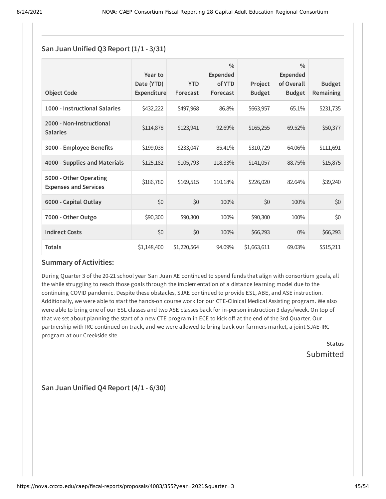### **San Juan Unified Q3 Report (1/1 - 3/31)**

| <b>Object Code</b>                                     | Year to<br>Date (YTD)<br>Expenditure | <b>YTD</b><br>Forecast | $\frac{0}{0}$<br><b>Expended</b><br>of YTD<br>Forecast | Project<br><b>Budget</b> | $\frac{0}{0}$<br>Expended<br>of Overall<br><b>Budget</b> | <b>Budget</b><br><b>Remaining</b> |
|--------------------------------------------------------|--------------------------------------|------------------------|--------------------------------------------------------|--------------------------|----------------------------------------------------------|-----------------------------------|
| 1000 - Instructional Salaries                          | \$432,222                            | \$497,968              | 86.8%                                                  | \$663,957                | 65.1%                                                    | \$231,735                         |
| 2000 - Non-Instructional<br><b>Salaries</b>            | \$114,878                            | \$123,941              | 92.69%                                                 | \$165,255                | 69.52%                                                   | \$50,377                          |
| 3000 - Employee Benefits                               | \$199,038                            | \$233,047              | 85.41%                                                 | \$310,729                | 64.06%                                                   | \$111,691                         |
| 4000 - Supplies and Materials                          | \$125,182                            | \$105,793              | 118.33%                                                | \$141,057                | 88.75%                                                   | \$15,875                          |
| 5000 - Other Operating<br><b>Expenses and Services</b> | \$186,780                            | \$169,515              | 110.18%                                                | \$226,020                | 82.64%                                                   | \$39,240                          |
| 6000 - Capital Outlay                                  | \$0                                  | \$0                    | 100%                                                   | \$0                      | 100%                                                     | \$0                               |
| 7000 - Other Outgo                                     | \$90,300                             | \$90,300               | 100%                                                   | \$90,300                 | 100%                                                     | \$0                               |
| <b>Indirect Costs</b>                                  | \$0                                  | \$0                    | 100%                                                   | \$66,293                 | $0\%$                                                    | \$66,293                          |
| <b>Totals</b>                                          | \$1,148,400                          | \$1,220,564            | 94.09%                                                 | \$1,663,611              | 69.03%                                                   | \$515,211                         |

#### **Summary of Activities:**

During Quarter 3 of the 20-21 school year San Juan AE continued to spend funds that align with consortium goals, all the while struggling to reach those goals through the implementation of a distance learning model due to the continuing COVID pandemic. Despite these obstacles, SJAE continued to provide ESL, ABE, and ASE instruction. Additionally, we were able to start the hands-on course work for our CTE-Clinical Medical Assisting program. We also were able to bring one of our ESL classes and two ASE classes back for in-person instruction 3 days/week. On top of that we set about planning the start of a new CTE program in ECE to kick off at the end of the 3rd Quarter. Our partnership with IRC continued on track, and we were allowed to bring back our farmers market, a joint SJAE-IRC program at our Creekside site.

> **Status** Submitted

**San Juan Unified Q4 Report (4/1 - 6/30)**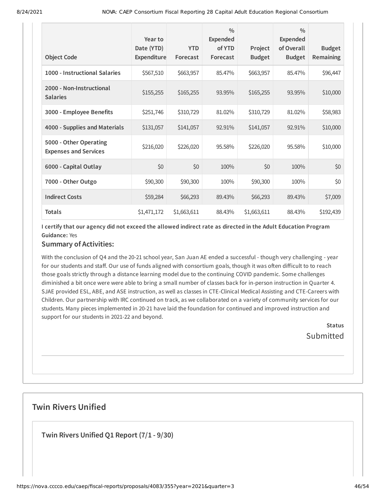| <b>Object Code</b>                                     | Year to<br>Date (YTD)<br><b>Expenditure</b> | <b>YTD</b><br>Forecast | $\frac{0}{0}$<br><b>Expended</b><br>of YTD<br>Forecast | Project<br><b>Budget</b> | $\frac{0}{0}$<br><b>Expended</b><br>of Overall<br><b>Budget</b> | <b>Budget</b><br>Remaining |
|--------------------------------------------------------|---------------------------------------------|------------------------|--------------------------------------------------------|--------------------------|-----------------------------------------------------------------|----------------------------|
| 1000 - Instructional Salaries                          | \$567,510                                   | \$663,957              | 85.47%                                                 | \$663,957                | 85.47%                                                          | \$96,447                   |
| 2000 - Non-Instructional<br><b>Salaries</b>            | \$155,255                                   | \$165,255              | 93.95%                                                 | \$165,255                | 93.95%                                                          | \$10,000                   |
| 3000 - Employee Benefits                               | \$251,746                                   | \$310,729              | 81.02%                                                 | \$310,729                | 81.02%                                                          | \$58,983                   |
| 4000 - Supplies and Materials                          | \$131,057                                   | \$141,057              | 92.91%                                                 | \$141,057                | 92.91%                                                          | \$10,000                   |
| 5000 - Other Operating<br><b>Expenses and Services</b> | \$216,020                                   | \$226,020              | 95.58%                                                 | \$226,020                | 95.58%                                                          | \$10,000                   |
| 6000 - Capital Outlay                                  | \$0                                         | \$0                    | 100%                                                   | \$0                      | 100%                                                            | \$0                        |
| 7000 - Other Outgo                                     | \$90,300                                    | \$90,300               | 100%                                                   | \$90,300                 | 100%                                                            | \$0                        |
| <b>Indirect Costs</b>                                  | \$59,284                                    | \$66,293               | 89.43%                                                 | \$66,293                 | 89.43%                                                          | \$7,009                    |
| <b>Totals</b>                                          | \$1,471,172                                 | \$1,663,611            | 88.43%                                                 | \$1,663,611              | 88.43%                                                          | \$192,439                  |

I certify that our agency did not exceed the allowed indirect rate as directed in the Adult Education Program **Guidance:** Yes

## **Summary of Activities:**

With the conclusion of Q4 and the 20-21 school year, San Juan AE ended a successful - though very challenging - year for our students and staff. Our use of funds aligned with consortium goals, though it was often difficult to to reach those goals strictly through a distance learning model due to the continuing COVID pandemic. Some challenges diminished a bit once were were able to bring a small number of classes back for in-person instruction in Quarter 4. SJAE provided ESL, ABE, and ASE instruction, as well as classes in CTE-Clinical Medical Assisting and CTE-Careers with Children. Our partnership with IRC continued on track, as we collaborated on a variety of community services for our students. Many pieces implemented in 20-21 have laid the foundation for continued and improved instruction and support for our students in 2021-22 and beyond.

> **Status Submitted**

## **Twin Rivers Unified**

**Twin Rivers Unified Q1 Report (7/1 - 9/30)**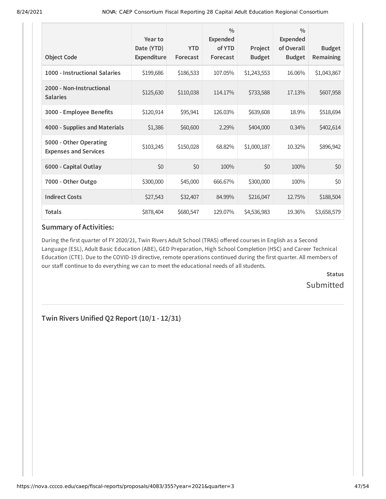| <b>Object Code</b>                                     | Year to<br>Date (YTD)<br>Expenditure | <b>YTD</b><br>Forecast | $\frac{0}{0}$<br>Expended<br>of YTD<br>Forecast | Project<br><b>Budget</b> | $\frac{0}{0}$<br><b>Expended</b><br>of Overall<br><b>Budget</b> | <b>Budget</b><br>Remaining |
|--------------------------------------------------------|--------------------------------------|------------------------|-------------------------------------------------|--------------------------|-----------------------------------------------------------------|----------------------------|
| 1000 - Instructional Salaries                          | \$199,686                            | \$186,533              | 107.05%                                         | \$1,243,553              | 16.06%                                                          | \$1,043,867                |
| 2000 - Non-Instructional<br><b>Salaries</b>            | \$125,630                            | \$110,038              | 114.17%                                         | \$733,588                | 17.13%                                                          | \$607,958                  |
| 3000 - Employee Benefits                               | \$120,914                            | \$95,941               | 126.03%                                         | \$639,608                | 18.9%                                                           | \$518,694                  |
| 4000 - Supplies and Materials                          | \$1,386                              | \$60,600               | 2.29%                                           | \$404,000                | $0.34\%$                                                        | \$402,614                  |
| 5000 - Other Operating<br><b>Expenses and Services</b> | \$103,245                            | \$150,028              | 68.82%                                          | \$1,000,187              | 10.32%                                                          | \$896,942                  |
| 6000 - Capital Outlay                                  | \$0                                  | \$0                    | 100%                                            | \$0                      | 100%                                                            | \$0                        |
| 7000 - Other Outgo                                     | \$300,000                            | \$45,000               | 666.67%                                         | \$300,000                | 100%                                                            | \$0                        |
| <b>Indirect Costs</b>                                  | \$27,543                             | \$32,407               | 84.99%                                          | \$216,047                | 12.75%                                                          | \$188,504                  |
| <b>Totals</b>                                          | \$878,404                            | \$680,547              | 129.07%                                         | \$4,536,983              | 19.36%                                                          | \$3,658,579                |

During the first quarter of FY 2020/21, Twin Rivers Adult School (TRAS) offered courses in English as a Second Language (ESL), Adult Basic Education (ABE), GED Preparation, High School Completion (HSC) and Career Technical Education (CTE). Due to the COVID-19 directive, remote operations continued during the first quarter. All members of our staff continue to do everything we can to meet the educational needs of all students.

> **Status** Submitted

**Twin Rivers Unified Q2 Report (10/1 - 12/31)**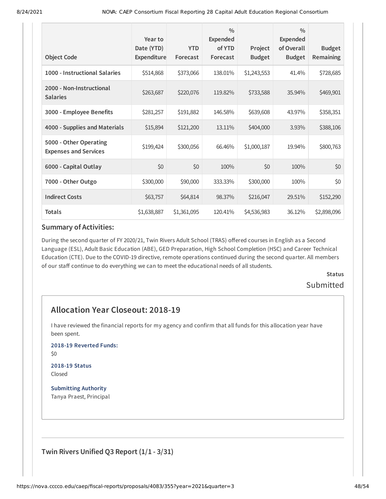| <b>Object Code</b>                                     | Year to<br>Date (YTD)<br><b>Expenditure</b> | <b>YTD</b><br>Forecast | $\frac{0}{0}$<br><b>Expended</b><br>of YTD<br>Forecast | Project<br><b>Budget</b> | $\frac{0}{0}$<br><b>Expended</b><br>of Overall<br><b>Budget</b> | <b>Budget</b><br>Remaining |
|--------------------------------------------------------|---------------------------------------------|------------------------|--------------------------------------------------------|--------------------------|-----------------------------------------------------------------|----------------------------|
| 1000 - Instructional Salaries                          | \$514,868                                   | \$373,066              | 138.01%                                                | \$1,243,553              | 41.4%                                                           | \$728,685                  |
| 2000 - Non-Instructional<br><b>Salaries</b>            | \$263,687                                   | \$220,076              | 119.82%                                                | \$733,588                | 35.94%                                                          | \$469,901                  |
| 3000 - Employee Benefits                               | \$281,257                                   | \$191,882              | 146.58%                                                | \$639,608                | 43.97%                                                          | \$358,351                  |
| 4000 - Supplies and Materials                          | \$15,894                                    | \$121,200              | 13.11%                                                 | \$404,000                | 3.93%                                                           | \$388,106                  |
| 5000 - Other Operating<br><b>Expenses and Services</b> | \$199,424                                   | \$300,056              | 66.46%                                                 | \$1,000,187              | 19.94%                                                          | \$800,763                  |
| 6000 - Capital Outlay                                  | \$0                                         | \$0                    | 100%                                                   | \$0                      | 100%                                                            | \$0                        |
| 7000 - Other Outgo                                     | \$300,000                                   | \$90,000               | 333.33%                                                | \$300,000                | 100%                                                            | \$0                        |
| <b>Indirect Costs</b>                                  | \$63,757                                    | \$64,814               | 98.37%                                                 | \$216,047                | 29.51%                                                          | \$152,290                  |
| <b>Totals</b>                                          | \$1,638,887                                 | \$1,361,095            | 120.41%                                                | \$4,536,983              | 36.12%                                                          | \$2,898,096                |

During the second quarter of FY 2020/21, Twin Rivers Adult School (TRAS) offered courses in English as a Second Language (ESL), Adult Basic Education (ABE), GED Preparation, High School Completion (HSC) and Career Technical Education (CTE). Due to the COVID-19 directive, remote operations continued during the second quarter. All members of our staff continue to do everything we can to meet the educational needs of all students.

> **Status** Submitted

# **Allocation Year Closeout: 2018-19**

I have reviewed the financial reports for my agency and confirm that all funds for this allocation year have been spent.

**2018-19 Reverted Funds:**

\$0

#### **2018-19 Status** Closed

**Submitting Authority** Tanya Praest, Principal

**Twin Rivers Unified Q3 Report (1/1 - 3/31)**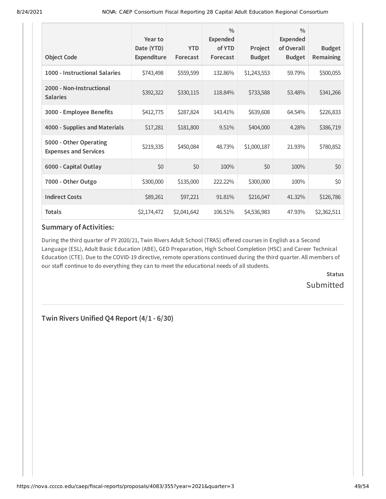| <b>Object Code</b>                                     | Year to<br>Date (YTD)<br>Expenditure | <b>YTD</b><br>Forecast | $\frac{0}{0}$<br>Expended<br>of YTD<br>Forecast | Project<br><b>Budget</b> | $\frac{0}{0}$<br>Expended<br>of Overall<br><b>Budget</b> | <b>Budget</b><br>Remaining |
|--------------------------------------------------------|--------------------------------------|------------------------|-------------------------------------------------|--------------------------|----------------------------------------------------------|----------------------------|
| 1000 - Instructional Salaries                          | \$743,498                            | \$559,599              | 132.86%                                         | \$1,243,553              | 59.79%                                                   | \$500,055                  |
| 2000 - Non-Instructional<br><b>Salaries</b>            | \$392,322                            | \$330,115              | 118.84%                                         | \$733,588                | 53.48%                                                   | \$341,266                  |
| 3000 - Employee Benefits                               | \$412,775                            | \$287,824              | 143.41%                                         | \$639,608                | 64.54%                                                   | \$226,833                  |
| 4000 - Supplies and Materials                          | \$17,281                             | \$181,800              | 9.51%                                           | \$404,000                | 4.28%                                                    | \$386,719                  |
| 5000 - Other Operating<br><b>Expenses and Services</b> | \$219,335                            | \$450,084              | 48.73%                                          | \$1,000,187              | 21.93%                                                   | \$780,852                  |
| 6000 - Capital Outlay                                  | \$0                                  | \$0                    | 100%                                            | \$0                      | 100%                                                     | \$0                        |
| 7000 - Other Outgo                                     | \$300,000                            | \$135,000              | 222.22%                                         | \$300,000                | 100%                                                     | \$0                        |
| <b>Indirect Costs</b>                                  | \$89,261                             | \$97,221               | 91.81%                                          | \$216,047                | 41.32%                                                   | \$126,786                  |
| <b>Totals</b>                                          | \$2,174,472                          | \$2,041,642            | 106.51%                                         | \$4,536,983              | 47.93%                                                   | \$2,362,511                |

During the third quarter of FY 2020/21, Twin Rivers Adult School (TRAS) offered courses in English as a Second Language (ESL), Adult Basic Education (ABE), GED Preparation, High School Completion (HSC) and Career Technical Education (CTE). Due to the COVID-19 directive, remote operations continued during the third quarter. All members of our staff continue to do everything they can to meet the educational needs of all students.

> **Status** Submitted

**Twin Rivers Unified Q4 Report (4/1 - 6/30)**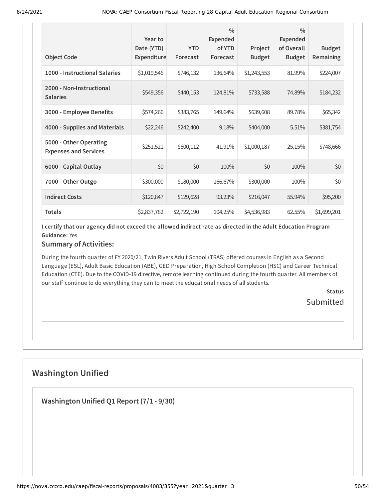| <b>Object Code</b>                                     | Year to<br>Date (YTD)<br><b>Expenditure</b> | <b>YTD</b><br>Forecast | $\frac{0}{0}$<br><b>Expended</b><br>of YTD<br>Forecast | Project<br><b>Budget</b> | $\frac{0}{0}$<br><b>Expended</b><br>of Overall<br><b>Budget</b> | <b>Budget</b><br><b>Remaining</b> |
|--------------------------------------------------------|---------------------------------------------|------------------------|--------------------------------------------------------|--------------------------|-----------------------------------------------------------------|-----------------------------------|
| 1000 - Instructional Salaries                          | \$1,019,546                                 | \$746,132              | 136.64%                                                | \$1,243,553              | 81.99%                                                          | \$224,007                         |
| 2000 - Non-Instructional<br><b>Salaries</b>            | \$549,356                                   | \$440,153              | 124.81%                                                | \$733,588                | 74.89%                                                          | \$184,232                         |
| 3000 - Employee Benefits                               | \$574,266                                   | \$383,765              | 149.64%                                                | \$639,608                | 89.78%                                                          | \$65,342                          |
| 4000 - Supplies and Materials                          | \$22,246                                    | \$242,400              | 9.18%                                                  | \$404,000                | 5.51%                                                           | \$381,754                         |
| 5000 - Other Operating<br><b>Expenses and Services</b> | \$251,521                                   | \$600,112              | 41.91%                                                 | \$1,000,187              | 25.15%                                                          | \$748,666                         |
| 6000 - Capital Outlay                                  | \$0                                         | \$0                    | 100%                                                   | \$0                      | 100%                                                            | \$0                               |
| 7000 - Other Outgo                                     | \$300,000                                   | \$180,000              | 166.67%                                                | \$300,000                | 100%                                                            | \$0                               |
| <b>Indirect Costs</b>                                  | \$120,847                                   | \$129,628              | 93.23%                                                 | \$216,047                | 55.94%                                                          | \$95,200                          |
| <b>Totals</b>                                          | \$2,837,782                                 | \$2,722,190            | 104.25%                                                | \$4,536,983              | 62.55%                                                          | \$1,699,201                       |

I certify that our agency did not exceed the allowed indirect rate as directed in the Adult Education Program **Guidance:** Yes

## **Summary of Activities:**

During the fourth quarter of FY 2020/21, Twin Rivers Adult School (TRAS) offered courses in English as a Second Language (ESL), Adult Basic Education (ABE), GED Preparation, High School Completion (HSC) and Career Technical Education (CTE). Due to the COVID-19 directive, remote learning continued during the fourth quarter. All members of our staff continue to do everything they can to meet the educational needs of all students.

> **Status Submitted**

# **Washington Unified**

**Washington Unified Q1 Report (7/1 - 9/30)**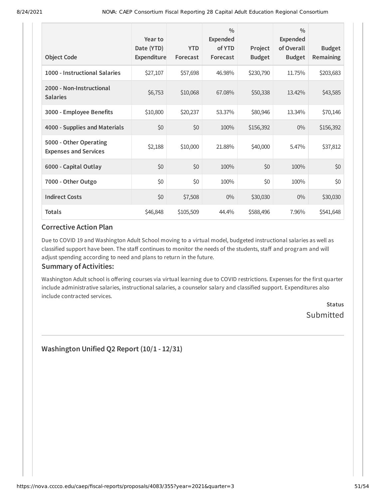| <b>Object Code</b>                                     | Year to<br>Date (YTD)<br><b>Expenditure</b> | <b>YTD</b><br>Forecast | $\frac{0}{0}$<br><b>Expended</b><br>of YTD<br>Forecast | Project<br><b>Budget</b> | $\frac{0}{0}$<br><b>Expended</b><br>of Overall<br><b>Budget</b> | <b>Budget</b><br>Remaining |
|--------------------------------------------------------|---------------------------------------------|------------------------|--------------------------------------------------------|--------------------------|-----------------------------------------------------------------|----------------------------|
| 1000 - Instructional Salaries                          | \$27,107                                    | \$57,698               | 46.98%                                                 | \$230,790                | 11.75%                                                          | \$203,683                  |
| 2000 - Non-Instructional<br><b>Salaries</b>            | \$6,753                                     | \$10,068               | 67.08%                                                 | \$50,338                 | 13.42%                                                          | \$43,585                   |
| 3000 - Employee Benefits                               | \$10,800                                    | \$20,237               | 53.37%                                                 | \$80,946                 | 13.34%                                                          | \$70,146                   |
| 4000 - Supplies and Materials                          | \$0                                         | \$0                    | 100%                                                   | \$156,392                | $0\%$                                                           | \$156,392                  |
| 5000 - Other Operating<br><b>Expenses and Services</b> | \$2,188                                     | \$10,000               | 21.88%                                                 | \$40,000                 | 5.47%                                                           | \$37,812                   |
| 6000 - Capital Outlay                                  | \$0                                         | \$0                    | 100%                                                   | \$0                      | 100%                                                            | \$0                        |
| 7000 - Other Outgo                                     | \$0                                         | \$0                    | 100%                                                   | \$0                      | 100%                                                            | \$0                        |
| <b>Indirect Costs</b>                                  | \$0                                         | \$7,508                | $0\%$                                                  | \$30,030                 | $0\%$                                                           | \$30,030                   |
| <b>Totals</b>                                          | \$46,848                                    | \$105,509              | 44.4%                                                  | \$588,496                | 7.96%                                                           | \$541,648                  |

Due to COVID 19 and Washington Adult School moving to a virtual model, budgeted instructional salaries as well as classified support have been. The staff continues to monitor the needs of the students, staff and program and will adjust spending according to need and plans to return in the future.

#### **Summary of Activities:**

Washington Adult school is offering courses via virtual learning due to COVID restrictions. Expenses for the first quarter include administrative salaries, instructional salaries, a counselor salary and classified support. Expenditures also include contracted services.

> **Status** Submitted

**Washington Unified Q2 Report (10/1 - 12/31)**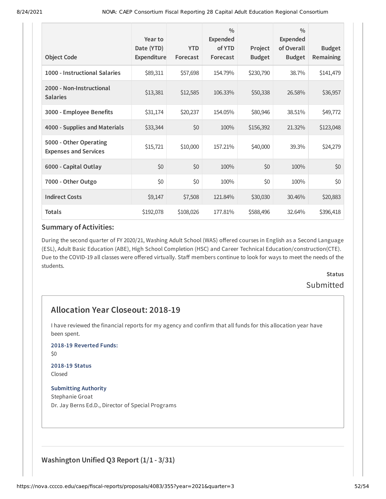| <b>Object Code</b>                                     | Year to<br>Date (YTD)<br>Expenditure | <b>YTD</b><br>Forecast | $\frac{0}{0}$<br><b>Expended</b><br>of YTD<br>Forecast | Project<br><b>Budget</b> | $\frac{0}{0}$<br>Expended<br>of Overall<br><b>Budget</b> | <b>Budget</b><br>Remaining |
|--------------------------------------------------------|--------------------------------------|------------------------|--------------------------------------------------------|--------------------------|----------------------------------------------------------|----------------------------|
| 1000 - Instructional Salaries                          | \$89,311                             | \$57,698               | 154.79%                                                | \$230,790                | 38.7%                                                    | \$141,479                  |
| 2000 - Non-Instructional<br><b>Salaries</b>            | \$13,381                             | \$12,585               | 106.33%                                                | \$50,338                 | 26.58%                                                   | \$36,957                   |
| 3000 - Employee Benefits                               | \$31,174                             | \$20,237               | 154.05%                                                | \$80,946                 | 38.51%                                                   | \$49,772                   |
| 4000 - Supplies and Materials                          | \$33,344                             | \$0                    | 100%                                                   | \$156,392                | 21.32%                                                   | \$123,048                  |
| 5000 - Other Operating<br><b>Expenses and Services</b> | \$15,721                             | \$10,000               | 157.21%                                                | \$40,000                 | 39.3%                                                    | \$24,279                   |
| 6000 - Capital Outlay                                  | \$0                                  | \$0                    | 100%                                                   | \$0                      | 100%                                                     | \$0                        |
| 7000 - Other Outgo                                     | \$0                                  | \$0                    | 100%                                                   | \$0                      | 100%                                                     | \$0                        |
| <b>Indirect Costs</b>                                  | \$9,147                              | \$7,508                | 121.84%                                                | \$30,030                 | 30.46%                                                   | \$20,883                   |
| <b>Totals</b>                                          | \$192,078                            | \$108,026              | 177.81%                                                | \$588,496                | 32.64%                                                   | \$396,418                  |

During the second quarter of FY 2020/21, Washing Adult School (WAS) offered courses in English as a Second Language (ESL), Adult Basic Education (ABE), High School Completion (HSC) and Career Technical Education/construction(CTE). Due to the COVID-19 all classes were offered virtually. Staff members continue to look for ways to meet the needs of the students.

# **Status** Submitted

# **Allocation Year Closeout: 2018-19**

I have reviewed the financial reports for my agency and confirm that all funds for this allocation year have been spent.

#### **2018-19 Reverted Funds:**

\$0

#### **2018-19 Status** Closed

### **Submitting Authority**

Stephanie Groat Dr. Jay Berns Ed.D., Director of Special Programs

## **Washington Unified Q3 Report (1/1 - 3/31)**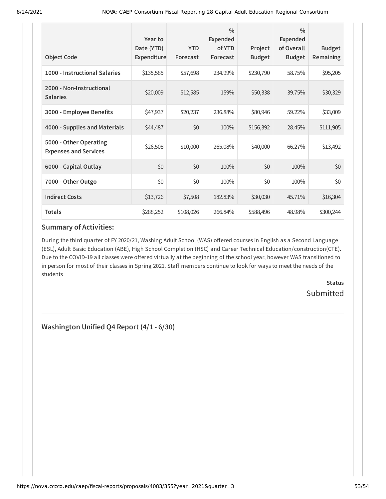| <b>Object Code</b>                                     | Year to<br>Date (YTD)<br>Expenditure | <b>YTD</b><br>Forecast | $\frac{0}{0}$<br><b>Expended</b><br>of YTD<br>Forecast | Project<br><b>Budget</b> | $\frac{0}{0}$<br><b>Expended</b><br>of Overall<br><b>Budget</b> | <b>Budget</b><br>Remaining |
|--------------------------------------------------------|--------------------------------------|------------------------|--------------------------------------------------------|--------------------------|-----------------------------------------------------------------|----------------------------|
|                                                        |                                      |                        |                                                        |                          |                                                                 |                            |
| 1000 - Instructional Salaries                          | \$135,585                            | \$57,698               | 234.99%                                                | \$230,790                | 58.75%                                                          | \$95,205                   |
| 2000 - Non-Instructional<br><b>Salaries</b>            | \$20,009                             | \$12,585               | 159%                                                   | \$50,338                 | 39.75%                                                          | \$30,329                   |
| 3000 - Employee Benefits                               | \$47,937                             | \$20,237               | 236.88%                                                | \$80,946                 | 59.22%                                                          | \$33,009                   |
| 4000 - Supplies and Materials                          | \$44,487                             | \$0                    | 100%                                                   | \$156,392                | 28.45%                                                          | \$111,905                  |
| 5000 - Other Operating<br><b>Expenses and Services</b> | \$26,508                             | \$10,000               | 265.08%                                                | \$40,000                 | 66.27%                                                          | \$13,492                   |
| 6000 - Capital Outlay                                  | \$0                                  | \$0                    | 100%                                                   | \$0                      | 100%                                                            | \$0                        |
| 7000 - Other Outgo                                     | \$0                                  | \$0                    | 100%                                                   | \$0                      | 100%                                                            | \$0                        |
| <b>Indirect Costs</b>                                  | \$13,726                             | \$7,508                | 182.83%                                                | \$30,030                 | 45.71%                                                          | \$16,304                   |
| <b>Totals</b>                                          | \$288,252                            | \$108,026              | 266.84%                                                | \$588,496                | 48.98%                                                          | \$300,244                  |

During the third quarter of FY 2020/21, Washing Adult School (WAS) offered courses in English as a Second Language (ESL), Adult Basic Education (ABE), High School Completion (HSC) and Career Technical Education/construction(CTE). Due to the COVID-19 all classes were offered virtually at the beginning of the school year, however WAS transitioned to in person for most of their classes in Spring 2021. Staff members continue to look for ways to meet the needs of the students

> **Status** Submitted

**Washington Unified Q4 Report (4/1 - 6/30)**